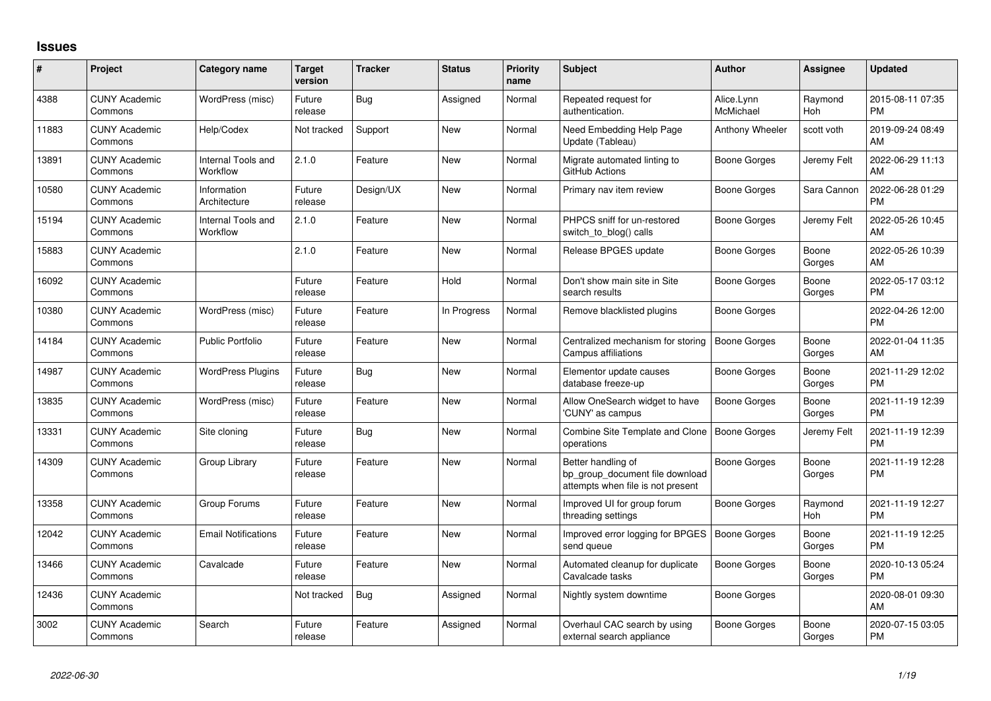## **Issues**

| #     | Project                         | <b>Category name</b>           | <b>Target</b><br>version | <b>Tracker</b> | <b>Status</b> | Priority<br>name | <b>Subject</b>                                                                             | <b>Author</b>           | Assignee        | <b>Updated</b>                |
|-------|---------------------------------|--------------------------------|--------------------------|----------------|---------------|------------------|--------------------------------------------------------------------------------------------|-------------------------|-----------------|-------------------------------|
| 4388  | <b>CUNY Academic</b><br>Commons | WordPress (misc)               | Future<br>release        | Bug            | Assigned      | Normal           | Repeated request for<br>authentication.                                                    | Alice.Lynn<br>McMichael | Raymond<br>Hoh  | 2015-08-11 07:35<br><b>PM</b> |
| 11883 | <b>CUNY Academic</b><br>Commons | Help/Codex                     | Not tracked              | Support        | New           | Normal           | Need Embedding Help Page<br>Update (Tableau)                                               | Anthony Wheeler         | scott voth      | 2019-09-24 08:49<br>AM        |
| 13891 | <b>CUNY Academic</b><br>Commons | Internal Tools and<br>Workflow | 2.1.0                    | Feature        | New           | Normal           | Migrate automated linting to<br>GitHub Actions                                             | Boone Gorges            | Jeremy Felt     | 2022-06-29 11:13<br>AM        |
| 10580 | <b>CUNY Academic</b><br>Commons | Information<br>Architecture    | Future<br>release        | Design/UX      | New           | Normal           | Primary nav item review                                                                    | Boone Gorges            | Sara Cannon     | 2022-06-28 01:29<br><b>PM</b> |
| 15194 | <b>CUNY Academic</b><br>Commons | Internal Tools and<br>Workflow | 2.1.0                    | Feature        | <b>New</b>    | Normal           | PHPCS sniff for un-restored<br>switch to blog() calls                                      | Boone Gorges            | Jeremy Felt     | 2022-05-26 10:45<br>AM        |
| 15883 | <b>CUNY Academic</b><br>Commons |                                | 2.1.0                    | Feature        | New           | Normal           | Release BPGES update                                                                       | Boone Gorges            | Boone<br>Gorges | 2022-05-26 10:39<br>AM        |
| 16092 | <b>CUNY Academic</b><br>Commons |                                | Future<br>release        | Feature        | Hold          | Normal           | Don't show main site in Site<br>search results                                             | Boone Gorges            | Boone<br>Gorges | 2022-05-17 03:12<br><b>PM</b> |
| 10380 | <b>CUNY Academic</b><br>Commons | WordPress (misc)               | Future<br>release        | Feature        | In Progress   | Normal           | Remove blacklisted plugins                                                                 | Boone Gorges            |                 | 2022-04-26 12:00<br><b>PM</b> |
| 14184 | <b>CUNY Academic</b><br>Commons | <b>Public Portfolio</b>        | Future<br>release        | Feature        | <b>New</b>    | Normal           | Centralized mechanism for storing<br>Campus affiliations                                   | Boone Gorges            | Boone<br>Gorges | 2022-01-04 11:35<br>AM        |
| 14987 | <b>CUNY Academic</b><br>Commons | <b>WordPress Plugins</b>       | Future<br>release        | Bug            | New           | Normal           | Elementor update causes<br>database freeze-up                                              | Boone Gorges            | Boone<br>Gorges | 2021-11-29 12:02<br><b>PM</b> |
| 13835 | <b>CUNY Academic</b><br>Commons | WordPress (misc)               | Future<br>release        | Feature        | <b>New</b>    | Normal           | Allow OneSearch widget to have<br>'CUNY' as campus                                         | Boone Gorges            | Boone<br>Gorges | 2021-11-19 12:39<br><b>PM</b> |
| 13331 | <b>CUNY Academic</b><br>Commons | Site cloning                   | Future<br>release        | Bug            | New           | Normal           | Combine Site Template and Clone<br>operations                                              | <b>Boone Gorges</b>     | Jeremy Felt     | 2021-11-19 12:39<br><b>PM</b> |
| 14309 | <b>CUNY Academic</b><br>Commons | Group Library                  | Future<br>release        | Feature        | <b>New</b>    | Normal           | Better handling of<br>bp_group_document file download<br>attempts when file is not present | <b>Boone Gorges</b>     | Boone<br>Gorges | 2021-11-19 12:28<br><b>PM</b> |
| 13358 | <b>CUNY Academic</b><br>Commons | Group Forums                   | Future<br>release        | Feature        | <b>New</b>    | Normal           | Improved UI for group forum<br>threading settings                                          | Boone Gorges            | Raymond<br>Hoh  | 2021-11-19 12:27<br><b>PM</b> |
| 12042 | <b>CUNY Academic</b><br>Commons | <b>Email Notifications</b>     | Future<br>release        | Feature        | New           | Normal           | Improved error logging for BPGES<br>send queue                                             | <b>Boone Gorges</b>     | Boone<br>Gorges | 2021-11-19 12:25<br><b>PM</b> |
| 13466 | <b>CUNY Academic</b><br>Commons | Cavalcade                      | Future<br>release        | Feature        | New           | Normal           | Automated cleanup for duplicate<br>Cavalcade tasks                                         | Boone Gorges            | Boone<br>Gorges | 2020-10-13 05:24<br><b>PM</b> |
| 12436 | <b>CUNY Academic</b><br>Commons |                                | Not tracked              | Bug            | Assigned      | Normal           | Nightly system downtime                                                                    | Boone Gorges            |                 | 2020-08-01 09:30<br>AM        |
| 3002  | <b>CUNY Academic</b><br>Commons | Search                         | Future<br>release        | Feature        | Assigned      | Normal           | Overhaul CAC search by using<br>external search appliance                                  | Boone Gorges            | Boone<br>Gorges | 2020-07-15 03:05<br>PM        |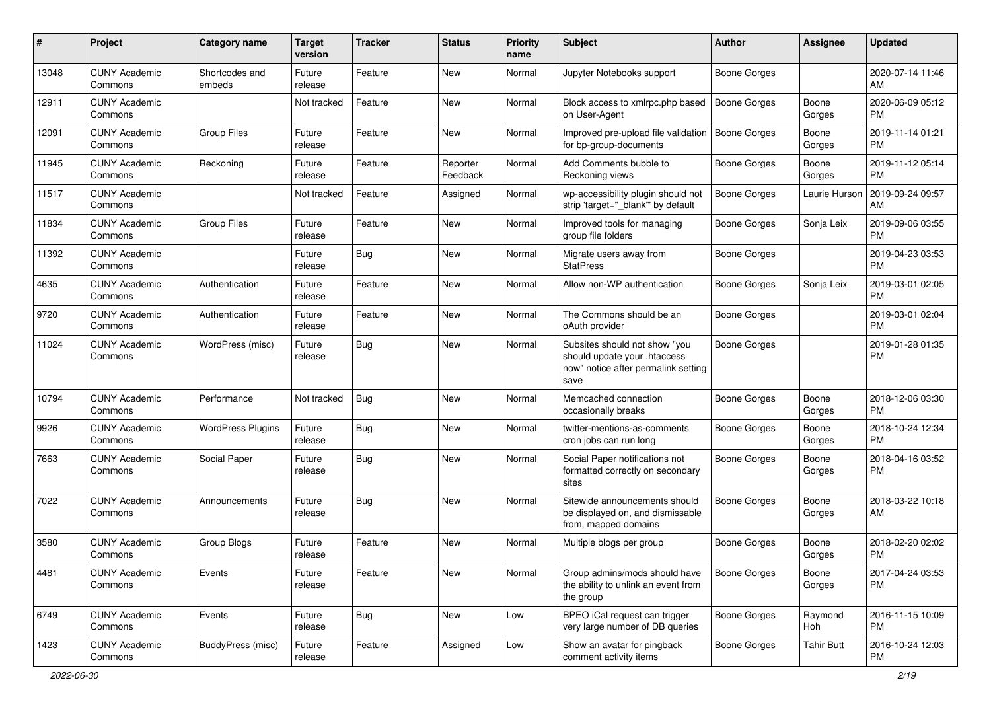| #     | Project                         | <b>Category name</b>     | <b>Target</b><br>version | <b>Tracker</b> | <b>Status</b>        | Priority<br>name | <b>Subject</b>                                                                                               | Author              | <b>Assignee</b>   | <b>Updated</b>                |
|-------|---------------------------------|--------------------------|--------------------------|----------------|----------------------|------------------|--------------------------------------------------------------------------------------------------------------|---------------------|-------------------|-------------------------------|
| 13048 | <b>CUNY Academic</b><br>Commons | Shortcodes and<br>embeds | Future<br>release        | Feature        | <b>New</b>           | Normal           | Jupyter Notebooks support                                                                                    | <b>Boone Gorges</b> |                   | 2020-07-14 11:46<br>AM        |
| 12911 | <b>CUNY Academic</b><br>Commons |                          | Not tracked              | Feature        | New                  | Normal           | Block access to xmlrpc.php based<br>on User-Agent                                                            | <b>Boone Gorges</b> | Boone<br>Gorges   | 2020-06-09 05:12<br><b>PM</b> |
| 12091 | <b>CUNY Academic</b><br>Commons | <b>Group Files</b>       | Future<br>release        | Feature        | <b>New</b>           | Normal           | Improved pre-upload file validation<br>for bp-group-documents                                                | <b>Boone Gorges</b> | Boone<br>Gorges   | 2019-11-14 01:21<br><b>PM</b> |
| 11945 | <b>CUNY Academic</b><br>Commons | Reckoning                | Future<br>release        | Feature        | Reporter<br>Feedback | Normal           | Add Comments bubble to<br>Reckoning views                                                                    | Boone Gorges        | Boone<br>Gorges   | 2019-11-12 05:14<br><b>PM</b> |
| 11517 | <b>CUNY Academic</b><br>Commons |                          | Not tracked              | Feature        | Assigned             | Normal           | wp-accessibility plugin should not<br>strip 'target=" blank" by default                                      | <b>Boone Gorges</b> | Laurie Hurson     | 2019-09-24 09:57<br>AM        |
| 11834 | <b>CUNY Academic</b><br>Commons | <b>Group Files</b>       | Future<br>release        | Feature        | New                  | Normal           | Improved tools for managing<br>group file folders                                                            | <b>Boone Gorges</b> | Sonja Leix        | 2019-09-06 03:55<br><b>PM</b> |
| 11392 | <b>CUNY Academic</b><br>Commons |                          | Future<br>release        | Bug            | <b>New</b>           | Normal           | Migrate users away from<br><b>StatPress</b>                                                                  | <b>Boone Gorges</b> |                   | 2019-04-23 03:53<br><b>PM</b> |
| 4635  | <b>CUNY Academic</b><br>Commons | Authentication           | Future<br>release        | Feature        | <b>New</b>           | Normal           | Allow non-WP authentication                                                                                  | <b>Boone Gorges</b> | Sonja Leix        | 2019-03-01 02:05<br><b>PM</b> |
| 9720  | <b>CUNY Academic</b><br>Commons | Authentication           | Future<br>release        | Feature        | New                  | Normal           | The Commons should be an<br>oAuth provider                                                                   | <b>Boone Gorges</b> |                   | 2019-03-01 02:04<br><b>PM</b> |
| 11024 | <b>CUNY Academic</b><br>Commons | WordPress (misc)         | Future<br>release        | Bug            | <b>New</b>           | Normal           | Subsites should not show "you<br>should update your .htaccess<br>now" notice after permalink setting<br>save | <b>Boone Gorges</b> |                   | 2019-01-28 01:35<br>PM        |
| 10794 | <b>CUNY Academic</b><br>Commons | Performance              | Not tracked              | Bug            | New                  | Normal           | Memcached connection<br>occasionally breaks                                                                  | <b>Boone Gorges</b> | Boone<br>Gorges   | 2018-12-06 03:30<br><b>PM</b> |
| 9926  | <b>CUNY Academic</b><br>Commons | <b>WordPress Plugins</b> | Future<br>release        | <b>Bug</b>     | New                  | Normal           | twitter-mentions-as-comments<br>cron jobs can run long                                                       | Boone Gorges        | Boone<br>Gorges   | 2018-10-24 12:34<br><b>PM</b> |
| 7663  | <b>CUNY Academic</b><br>Commons | Social Paper             | Future<br>release        | Bug            | <b>New</b>           | Normal           | Social Paper notifications not<br>formatted correctly on secondary<br>sites                                  | Boone Gorges        | Boone<br>Gorges   | 2018-04-16 03:52<br><b>PM</b> |
| 7022  | <b>CUNY Academic</b><br>Commons | Announcements            | Future<br>release        | Bug            | New                  | Normal           | Sitewide announcements should<br>be displayed on, and dismissable<br>from, mapped domains                    | Boone Gorges        | Boone<br>Gorges   | 2018-03-22 10:18<br>AM        |
| 3580  | <b>CUNY Academic</b><br>Commons | Group Blogs              | Future<br>release        | Feature        | <b>New</b>           | Normal           | Multiple blogs per group                                                                                     | Boone Gorges        | Boone<br>Gorges   | 2018-02-20 02:02<br><b>PM</b> |
| 4481  | <b>CUNY Academic</b><br>Commons | Events                   | Future<br>release        | Feature        | New                  | Normal           | Group admins/mods should have<br>the ability to unlink an event from<br>the group                            | <b>Boone Gorges</b> | Boone<br>Gorges   | 2017-04-24 03:53<br><b>PM</b> |
| 6749  | <b>CUNY Academic</b><br>Commons | Events                   | Future<br>release        | Bug            | New                  | Low              | BPEO iCal request can trigger<br>very large number of DB queries                                             | Boone Gorges        | Raymond<br>Hoh    | 2016-11-15 10:09<br><b>PM</b> |
| 1423  | <b>CUNY Academic</b><br>Commons | <b>BuddyPress (misc)</b> | Future<br>release        | Feature        | Assigned             | Low              | Show an avatar for pingback<br>comment activity items                                                        | <b>Boone Gorges</b> | <b>Tahir Butt</b> | 2016-10-24 12:03<br>PM        |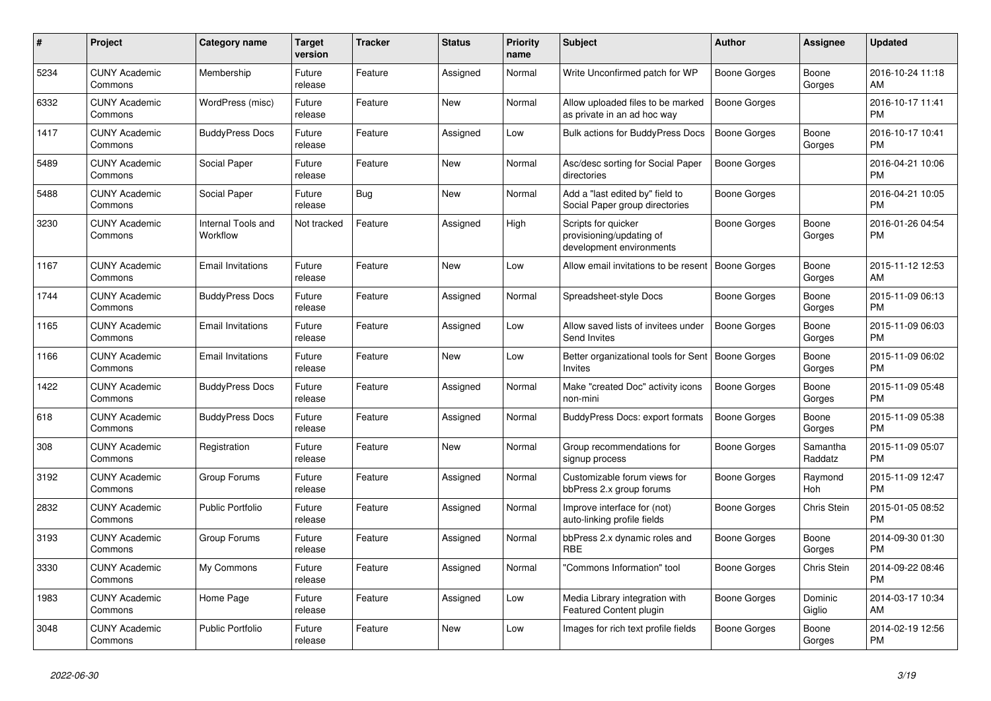| #    | <b>Project</b>                  | Category name                  | <b>Target</b><br>version | <b>Tracker</b> | <b>Status</b> | <b>Priority</b><br>name | <b>Subject</b>                                                              | <b>Author</b>       | Assignee            | <b>Updated</b>                |
|------|---------------------------------|--------------------------------|--------------------------|----------------|---------------|-------------------------|-----------------------------------------------------------------------------|---------------------|---------------------|-------------------------------|
| 5234 | <b>CUNY Academic</b><br>Commons | Membership                     | Future<br>release        | Feature        | Assigned      | Normal                  | Write Unconfirmed patch for WP                                              | Boone Gorges        | Boone<br>Gorges     | 2016-10-24 11:18<br>AM        |
| 6332 | <b>CUNY Academic</b><br>Commons | WordPress (misc)               | Future<br>release        | Feature        | New           | Normal                  | Allow uploaded files to be marked<br>as private in an ad hoc way            | <b>Boone Gorges</b> |                     | 2016-10-17 11:41<br><b>PM</b> |
| 1417 | <b>CUNY Academic</b><br>Commons | <b>BuddyPress Docs</b>         | Future<br>release        | Feature        | Assigned      | Low                     | <b>Bulk actions for BuddyPress Docs</b>                                     | Boone Gorges        | Boone<br>Gorges     | 2016-10-17 10:41<br><b>PM</b> |
| 5489 | <b>CUNY Academic</b><br>Commons | Social Paper                   | Future<br>release        | Feature        | <b>New</b>    | Normal                  | Asc/desc sorting for Social Paper<br>directories                            | Boone Gorges        |                     | 2016-04-21 10:06<br><b>PM</b> |
| 5488 | <b>CUNY Academic</b><br>Commons | Social Paper                   | Future<br>release        | Bug            | New           | Normal                  | Add a "last edited by" field to<br>Social Paper group directories           | Boone Gorges        |                     | 2016-04-21 10:05<br><b>PM</b> |
| 3230 | <b>CUNY Academic</b><br>Commons | Internal Tools and<br>Workflow | Not tracked              | Feature        | Assigned      | High                    | Scripts for quicker<br>provisioning/updating of<br>development environments | Boone Gorges        | Boone<br>Gorges     | 2016-01-26 04:54<br><b>PM</b> |
| 1167 | <b>CUNY Academic</b><br>Commons | <b>Email Invitations</b>       | Future<br>release        | Feature        | <b>New</b>    | Low                     | Allow email invitations to be resent                                        | <b>Boone Gorges</b> | Boone<br>Gorges     | 2015-11-12 12:53<br>AM        |
| 1744 | <b>CUNY Academic</b><br>Commons | <b>BuddyPress Docs</b>         | Future<br>release        | Feature        | Assigned      | Normal                  | Spreadsheet-style Docs                                                      | Boone Gorges        | Boone<br>Gorges     | 2015-11-09 06:13<br><b>PM</b> |
| 1165 | <b>CUNY Academic</b><br>Commons | <b>Email Invitations</b>       | Future<br>release        | Feature        | Assigned      | Low                     | Allow saved lists of invitees under<br>Send Invites                         | <b>Boone Gorges</b> | Boone<br>Gorges     | 2015-11-09 06:03<br><b>PM</b> |
| 1166 | <b>CUNY Academic</b><br>Commons | <b>Email Invitations</b>       | Future<br>release        | Feature        | <b>New</b>    | Low                     | Better organizational tools for Sent<br><b>Invites</b>                      | Boone Gorges        | Boone<br>Gorges     | 2015-11-09 06:02<br><b>PM</b> |
| 1422 | <b>CUNY Academic</b><br>Commons | <b>BuddyPress Docs</b>         | Future<br>release        | Feature        | Assigned      | Normal                  | Make "created Doc" activity icons<br>non-mini                               | <b>Boone Gorges</b> | Boone<br>Gorges     | 2015-11-09 05:48<br><b>PM</b> |
| 618  | <b>CUNY Academic</b><br>Commons | <b>BuddyPress Docs</b>         | Future<br>release        | Feature        | Assigned      | Normal                  | <b>BuddyPress Docs: export formats</b>                                      | <b>Boone Gorges</b> | Boone<br>Gorges     | 2015-11-09 05:38<br><b>PM</b> |
| 308  | <b>CUNY Academic</b><br>Commons | Registration                   | Future<br>release        | Feature        | <b>New</b>    | Normal                  | Group recommendations for<br>signup process                                 | Boone Gorges        | Samantha<br>Raddatz | 2015-11-09 05:07<br><b>PM</b> |
| 3192 | <b>CUNY Academic</b><br>Commons | Group Forums                   | Future<br>release        | Feature        | Assigned      | Normal                  | Customizable forum views for<br>bbPress 2.x group forums                    | Boone Gorges        | Raymond<br>Hoh      | 2015-11-09 12:47<br><b>PM</b> |
| 2832 | <b>CUNY Academic</b><br>Commons | <b>Public Portfolio</b>        | Future<br>release        | Feature        | Assigned      | Normal                  | Improve interface for (not)<br>auto-linking profile fields                  | Boone Gorges        | Chris Stein         | 2015-01-05 08:52<br><b>PM</b> |
| 3193 | <b>CUNY Academic</b><br>Commons | Group Forums                   | Future<br>release        | Feature        | Assigned      | Normal                  | bbPress 2.x dynamic roles and<br><b>RBE</b>                                 | Boone Gorges        | Boone<br>Gorges     | 2014-09-30 01:30<br><b>PM</b> |
| 3330 | <b>CUNY Academic</b><br>Commons | My Commons                     | Future<br>release        | Feature        | Assigned      | Normal                  | "Commons Information" tool                                                  | Boone Gorges        | Chris Stein         | 2014-09-22 08:46<br><b>PM</b> |
| 1983 | <b>CUNY Academic</b><br>Commons | Home Page                      | Future<br>release        | Feature        | Assigned      | Low                     | Media Library integration with<br><b>Featured Content plugin</b>            | Boone Gorges        | Dominic<br>Giglio   | 2014-03-17 10:34<br>AM        |
| 3048 | <b>CUNY Academic</b><br>Commons | Public Portfolio               | Future<br>release        | Feature        | <b>New</b>    | Low                     | Images for rich text profile fields                                         | Boone Gorges        | Boone<br>Gorges     | 2014-02-19 12:56<br><b>PM</b> |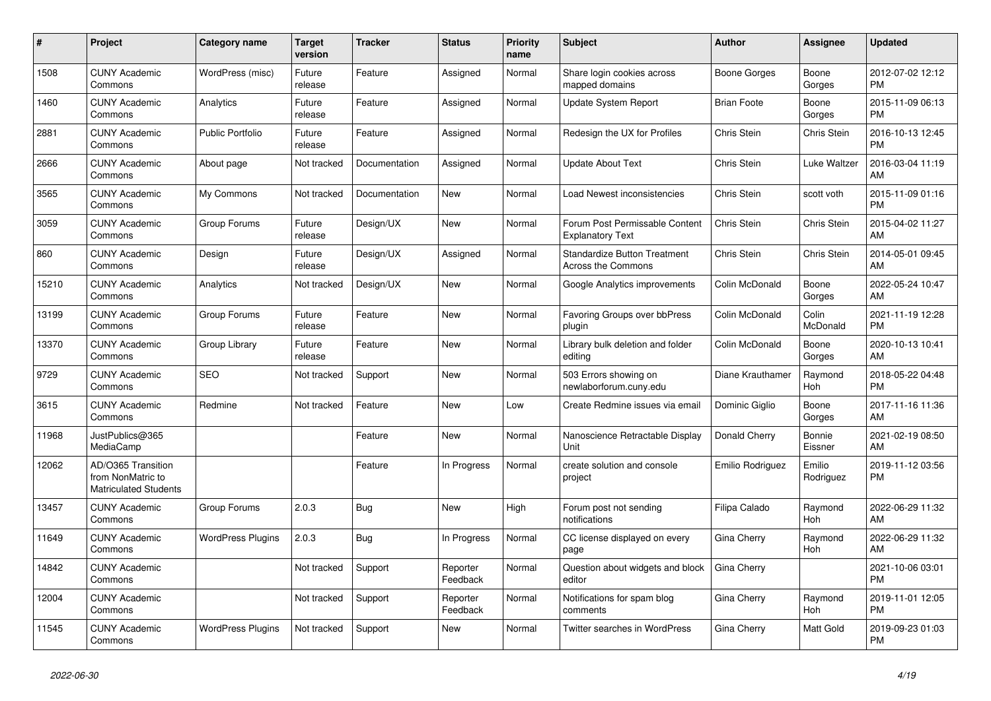| #     | <b>Project</b>                                                          | Category name            | <b>Target</b><br>version | <b>Tracker</b> | <b>Status</b>        | <b>Priority</b><br>name | <b>Subject</b>                                            | <b>Author</b>      | Assignee            | <b>Updated</b>                |
|-------|-------------------------------------------------------------------------|--------------------------|--------------------------|----------------|----------------------|-------------------------|-----------------------------------------------------------|--------------------|---------------------|-------------------------------|
| 1508  | <b>CUNY Academic</b><br>Commons                                         | WordPress (misc)         | Future<br>release        | Feature        | Assigned             | Normal                  | Share login cookies across<br>mapped domains              | Boone Gorges       | Boone<br>Gorges     | 2012-07-02 12:12<br><b>PM</b> |
| 1460  | <b>CUNY Academic</b><br>Commons                                         | Analytics                | Future<br>release        | Feature        | Assigned             | Normal                  | <b>Update System Report</b>                               | <b>Brian Foote</b> | Boone<br>Gorges     | 2015-11-09 06:13<br><b>PM</b> |
| 2881  | <b>CUNY Academic</b><br>Commons                                         | <b>Public Portfolio</b>  | Future<br>release        | Feature        | Assigned             | Normal                  | Redesign the UX for Profiles                              | Chris Stein        | Chris Stein         | 2016-10-13 12:45<br><b>PM</b> |
| 2666  | <b>CUNY Academic</b><br>Commons                                         | About page               | Not tracked              | Documentation  | Assigned             | Normal                  | <b>Update About Text</b>                                  | Chris Stein        | Luke Waltzer        | 2016-03-04 11:19<br>AM        |
| 3565  | <b>CUNY Academic</b><br>Commons                                         | My Commons               | Not tracked              | Documentation  | New                  | Normal                  | Load Newest inconsistencies                               | Chris Stein        | scott voth          | 2015-11-09 01:16<br><b>PM</b> |
| 3059  | <b>CUNY Academic</b><br>Commons                                         | Group Forums             | Future<br>release        | Design/UX      | New                  | Normal                  | Forum Post Permissable Content<br><b>Explanatory Text</b> | Chris Stein        | Chris Stein         | 2015-04-02 11:27<br><b>AM</b> |
| 860   | <b>CUNY Academic</b><br>Commons                                         | Design                   | Future<br>release        | Design/UX      | Assigned             | Normal                  | <b>Standardize Button Treatment</b><br>Across the Commons | Chris Stein        | Chris Stein         | 2014-05-01 09:45<br>AM        |
| 15210 | <b>CUNY Academic</b><br>Commons                                         | Analytics                | Not tracked              | Design/UX      | <b>New</b>           | Normal                  | Google Analytics improvements                             | Colin McDonald     | Boone<br>Gorges     | 2022-05-24 10:47<br>AM        |
| 13199 | <b>CUNY Academic</b><br>Commons                                         | Group Forums             | Future<br>release        | Feature        | New                  | Normal                  | Favoring Groups over bbPress<br>plugin                    | Colin McDonald     | Colin<br>McDonald   | 2021-11-19 12:28<br><b>PM</b> |
| 13370 | <b>CUNY Academic</b><br>Commons                                         | Group Library            | Future<br>release        | Feature        | New                  | Normal                  | Library bulk deletion and folder<br>editing               | Colin McDonald     | Boone<br>Gorges     | 2020-10-13 10:41<br>AM        |
| 9729  | <b>CUNY Academic</b><br>Commons                                         | <b>SEO</b>               | Not tracked              | Support        | <b>New</b>           | Normal                  | 503 Errors showing on<br>newlaborforum.cuny.edu           | Diane Krauthamer   | Raymond<br>Hoh      | 2018-05-22 04:48<br><b>PM</b> |
| 3615  | <b>CUNY Academic</b><br>Commons                                         | Redmine                  | Not tracked              | Feature        | New                  | Low                     | Create Redmine issues via email                           | Dominic Giglio     | Boone<br>Gorges     | 2017-11-16 11:36<br><b>AM</b> |
| 11968 | JustPublics@365<br>MediaCamp                                            |                          |                          | Feature        | New                  | Normal                  | Nanoscience Retractable Display<br>Unit                   | Donald Cherry      | Bonnie<br>Eissner   | 2021-02-19 08:50<br>AM        |
| 12062 | AD/O365 Transition<br>from NonMatric to<br><b>Matriculated Students</b> |                          |                          | Feature        | In Progress          | Normal                  | create solution and console<br>project                    | Emilio Rodriguez   | Emilio<br>Rodriguez | 2019-11-12 03:56<br>PM        |
| 13457 | <b>CUNY Academic</b><br>Commons                                         | Group Forums             | 2.0.3                    | <b>Bug</b>     | <b>New</b>           | High                    | Forum post not sending<br>notifications                   | Filipa Calado      | Raymond<br>Hoh      | 2022-06-29 11:32<br>AM        |
| 11649 | <b>CUNY Academic</b><br>Commons                                         | <b>WordPress Plugins</b> | 2.0.3                    | Bug            | In Progress          | Normal                  | CC license displayed on every<br>page                     | <b>Gina Cherry</b> | Raymond<br>Hoh      | 2022-06-29 11:32<br>AM        |
| 14842 | <b>CUNY Academic</b><br>Commons                                         |                          | Not tracked              | Support        | Reporter<br>Feedback | Normal                  | Question about widgets and block<br>editor                | Gina Cherry        |                     | 2021-10-06 03:01<br><b>PM</b> |
| 12004 | <b>CUNY Academic</b><br>Commons                                         |                          | Not tracked              | Support        | Reporter<br>Feedback | Normal                  | Notifications for spam blog<br>comments                   | Gina Cherry        | Raymond<br>Hoh      | 2019-11-01 12:05<br><b>PM</b> |
| 11545 | <b>CUNY Academic</b><br>Commons                                         | <b>WordPress Plugins</b> | Not tracked              | Support        | New                  | Normal                  | <b>Twitter searches in WordPress</b>                      | Gina Cherry        | Matt Gold           | 2019-09-23 01:03<br><b>PM</b> |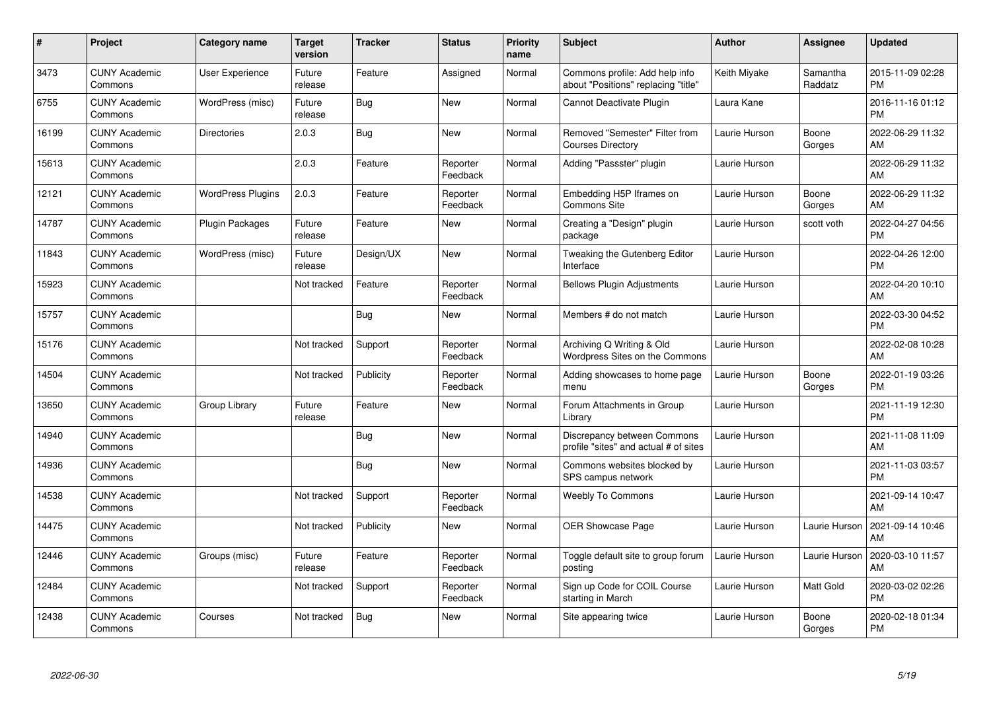| #     | <b>Project</b>                  | Category name            | <b>Target</b><br>version | <b>Tracker</b> | <b>Status</b>        | <b>Priority</b><br>name | <b>Subject</b>                                                        | Author        | <b>Assignee</b>     | <b>Updated</b>                |
|-------|---------------------------------|--------------------------|--------------------------|----------------|----------------------|-------------------------|-----------------------------------------------------------------------|---------------|---------------------|-------------------------------|
| 3473  | <b>CUNY Academic</b><br>Commons | User Experience          | Future<br>release        | Feature        | Assigned             | Normal                  | Commons profile: Add help info<br>about "Positions" replacing "title" | Keith Miyake  | Samantha<br>Raddatz | 2015-11-09 02:28<br><b>PM</b> |
| 6755  | <b>CUNY Academic</b><br>Commons | WordPress (misc)         | Future<br>release        | Bug            | <b>New</b>           | Normal                  | Cannot Deactivate Plugin                                              | Laura Kane    |                     | 2016-11-16 01:12<br><b>PM</b> |
| 16199 | <b>CUNY Academic</b><br>Commons | <b>Directories</b>       | 2.0.3                    | <b>Bug</b>     | <b>New</b>           | Normal                  | Removed "Semester" Filter from<br><b>Courses Directory</b>            | Laurie Hurson | Boone<br>Gorges     | 2022-06-29 11:32<br>AM        |
| 15613 | <b>CUNY Academic</b><br>Commons |                          | 2.0.3                    | Feature        | Reporter<br>Feedback | Normal                  | Adding "Passster" plugin                                              | Laurie Hurson |                     | 2022-06-29 11:32<br>AM        |
| 12121 | <b>CUNY Academic</b><br>Commons | <b>WordPress Plugins</b> | 2.0.3                    | Feature        | Reporter<br>Feedback | Normal                  | Embedding H5P Iframes on<br><b>Commons Site</b>                       | Laurie Hurson | Boone<br>Gorges     | 2022-06-29 11:32<br>AM        |
| 14787 | <b>CUNY Academic</b><br>Commons | Plugin Packages          | Future<br>release        | Feature        | <b>New</b>           | Normal                  | Creating a "Design" plugin<br>package                                 | Laurie Hurson | scott voth          | 2022-04-27 04:56<br><b>PM</b> |
| 11843 | <b>CUNY Academic</b><br>Commons | WordPress (misc)         | Future<br>release        | Design/UX      | <b>New</b>           | Normal                  | Tweaking the Gutenberg Editor<br>Interface                            | Laurie Hurson |                     | 2022-04-26 12:00<br><b>PM</b> |
| 15923 | <b>CUNY Academic</b><br>Commons |                          | Not tracked              | Feature        | Reporter<br>Feedback | Normal                  | <b>Bellows Plugin Adjustments</b>                                     | Laurie Hurson |                     | 2022-04-20 10:10<br>AM        |
| 15757 | <b>CUNY Academic</b><br>Commons |                          |                          | Bug            | <b>New</b>           | Normal                  | Members # do not match                                                | Laurie Hurson |                     | 2022-03-30 04:52<br><b>PM</b> |
| 15176 | <b>CUNY Academic</b><br>Commons |                          | Not tracked              | Support        | Reporter<br>Feedback | Normal                  | Archiving Q Writing & Old<br>Wordpress Sites on the Commons           | Laurie Hurson |                     | 2022-02-08 10:28<br>AM        |
| 14504 | <b>CUNY Academic</b><br>Commons |                          | Not tracked              | Publicity      | Reporter<br>Feedback | Normal                  | Adding showcases to home page<br>menu                                 | Laurie Hurson | Boone<br>Gorges     | 2022-01-19 03:26<br><b>PM</b> |
| 13650 | <b>CUNY Academic</b><br>Commons | Group Library            | Future<br>release        | Feature        | <b>New</b>           | Normal                  | Forum Attachments in Group<br>Library                                 | Laurie Hurson |                     | 2021-11-19 12:30<br><b>PM</b> |
| 14940 | <b>CUNY Academic</b><br>Commons |                          |                          | Bug            | New                  | Normal                  | Discrepancy between Commons<br>profile "sites" and actual # of sites  | Laurie Hurson |                     | 2021-11-08 11:09<br>AM        |
| 14936 | <b>CUNY Academic</b><br>Commons |                          |                          | Bug            | <b>New</b>           | Normal                  | Commons websites blocked by<br>SPS campus network                     | Laurie Hurson |                     | 2021-11-03 03:57<br><b>PM</b> |
| 14538 | <b>CUNY Academic</b><br>Commons |                          | Not tracked              | Support        | Reporter<br>Feedback | Normal                  | <b>Weebly To Commons</b>                                              | Laurie Hurson |                     | 2021-09-14 10:47<br>AM        |
| 14475 | <b>CUNY Academic</b><br>Commons |                          | Not tracked              | Publicity      | <b>New</b>           | Normal                  | <b>OER Showcase Page</b>                                              | Laurie Hurson | Laurie Hurson       | 2021-09-14 10:46<br>AM        |
| 12446 | <b>CUNY Academic</b><br>Commons | Groups (misc)            | Future<br>release        | Feature        | Reporter<br>Feedback | Normal                  | Toggle default site to group forum<br>posting                         | Laurie Hurson | Laurie Hurson       | 2020-03-10 11:57<br>AM        |
| 12484 | <b>CUNY Academic</b><br>Commons |                          | Not tracked              | Support        | Reporter<br>Feedback | Normal                  | Sign up Code for COIL Course<br>starting in March                     | Laurie Hurson | Matt Gold           | 2020-03-02 02:26<br><b>PM</b> |
| 12438 | <b>CUNY Academic</b><br>Commons | Courses                  | Not tracked              | Bug            | <b>New</b>           | Normal                  | Site appearing twice                                                  | Laurie Hurson | Boone<br>Gorges     | 2020-02-18 01:34<br><b>PM</b> |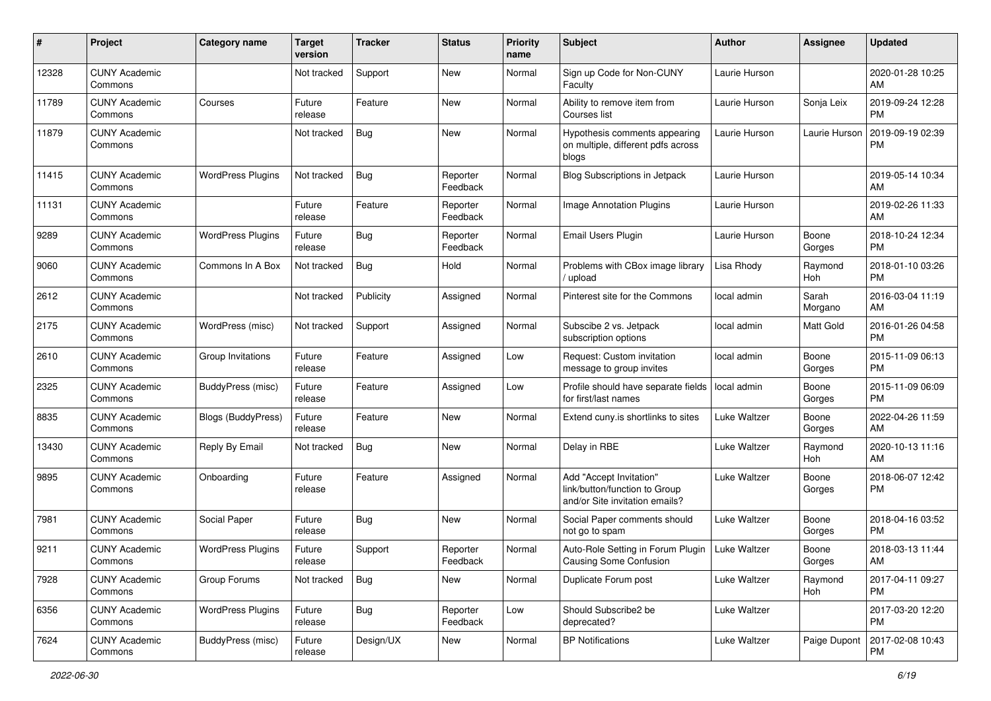| #     | Project                         | <b>Category name</b>     | Target<br>version | <b>Tracker</b> | <b>Status</b>        | <b>Priority</b><br>name | <b>Subject</b>                                                                             | <b>Author</b>       | Assignee         | <b>Updated</b>                |
|-------|---------------------------------|--------------------------|-------------------|----------------|----------------------|-------------------------|--------------------------------------------------------------------------------------------|---------------------|------------------|-------------------------------|
| 12328 | <b>CUNY Academic</b><br>Commons |                          | Not tracked       | Support        | New                  | Normal                  | Sign up Code for Non-CUNY<br>Faculty                                                       | Laurie Hurson       |                  | 2020-01-28 10:25<br>AM        |
| 11789 | <b>CUNY Academic</b><br>Commons | Courses                  | Future<br>release | Feature        | New                  | Normal                  | Ability to remove item from<br>Courses list                                                | Laurie Hurson       | Sonja Leix       | 2019-09-24 12:28<br><b>PM</b> |
| 11879 | <b>CUNY Academic</b><br>Commons |                          | Not tracked       | Bug            | New                  | Normal                  | Hypothesis comments appearing<br>on multiple, different pdfs across<br>blogs               | Laurie Hurson       | Laurie Hurson    | 2019-09-19 02:39<br><b>PM</b> |
| 11415 | <b>CUNY Academic</b><br>Commons | <b>WordPress Plugins</b> | Not tracked       | <b>Bug</b>     | Reporter<br>Feedback | Normal                  | Blog Subscriptions in Jetpack                                                              | Laurie Hurson       |                  | 2019-05-14 10:34<br>AM        |
| 11131 | <b>CUNY Academic</b><br>Commons |                          | Future<br>release | Feature        | Reporter<br>Feedback | Normal                  | Image Annotation Plugins                                                                   | Laurie Hurson       |                  | 2019-02-26 11:33<br>AM        |
| 9289  | <b>CUNY Academic</b><br>Commons | <b>WordPress Plugins</b> | Future<br>release | Bug            | Reporter<br>Feedback | Normal                  | <b>Email Users Plugin</b>                                                                  | Laurie Hurson       | Boone<br>Gorges  | 2018-10-24 12:34<br>PM.       |
| 9060  | <b>CUNY Academic</b><br>Commons | Commons In A Box         | Not tracked       | Bug            | Hold                 | Normal                  | Problems with CBox image library<br>upload                                                 | Lisa Rhody          | Raymond<br>Hoh   | 2018-01-10 03:26<br><b>PM</b> |
| 2612  | <b>CUNY Academic</b><br>Commons |                          | Not tracked       | Publicity      | Assigned             | Normal                  | Pinterest site for the Commons                                                             | local admin         | Sarah<br>Morgano | 2016-03-04 11:19<br>AM        |
| 2175  | <b>CUNY Academic</b><br>Commons | WordPress (misc)         | Not tracked       | Support        | Assigned             | Normal                  | Subscibe 2 vs. Jetpack<br>subscription options                                             | local admin         | Matt Gold        | 2016-01-26 04:58<br><b>PM</b> |
| 2610  | <b>CUNY Academic</b><br>Commons | Group Invitations        | Future<br>release | Feature        | Assigned             | Low                     | Request: Custom invitation<br>message to group invites                                     | local admin         | Boone<br>Gorges  | 2015-11-09 06:13<br><b>PM</b> |
| 2325  | <b>CUNY Academic</b><br>Commons | BuddyPress (misc)        | Future<br>release | Feature        | Assigned             | Low                     | Profile should have separate fields<br>for first/last names                                | local admin         | Boone<br>Gorges  | 2015-11-09 06:09<br><b>PM</b> |
| 8835  | <b>CUNY Academic</b><br>Commons | Blogs (BuddyPress)       | Future<br>release | Feature        | New                  | Normal                  | Extend cuny is shortlinks to sites                                                         | Luke Waltzer        | Boone<br>Gorges  | 2022-04-26 11:59<br>AM        |
| 13430 | <b>CUNY Academic</b><br>Commons | Reply By Email           | Not tracked       | Bug            | New                  | Normal                  | Delay in RBE                                                                               | Luke Waltzer        | Raymond<br>Hoh   | 2020-10-13 11:16<br>AM        |
| 9895  | <b>CUNY Academic</b><br>Commons | Onboarding               | Future<br>release | Feature        | Assigned             | Normal                  | Add "Accept Invitation"<br>link/button/function to Group<br>and/or Site invitation emails? | Luke Waltzer        | Boone<br>Gorges  | 2018-06-07 12:42<br><b>PM</b> |
| 7981  | <b>CUNY Academic</b><br>Commons | Social Paper             | Future<br>release | Bug            | New                  | Normal                  | Social Paper comments should<br>not go to spam                                             | Luke Waltzer        | Boone<br>Gorges  | 2018-04-16 03:52<br><b>PM</b> |
| 9211  | <b>CUNY Academic</b><br>Commons | <b>WordPress Plugins</b> | Future<br>release | Support        | Reporter<br>Feedback | Normal                  | Auto-Role Setting in Forum Plugin<br>Causing Some Confusion                                | <b>Luke Waltzer</b> | Boone<br>Gorges  | 2018-03-13 11:44<br>AM        |
| 7928  | <b>CUNY Academic</b><br>Commons | Group Forums             | Not tracked       | Bug            | New                  | Normal                  | Duplicate Forum post                                                                       | Luke Waltzer        | Raymond<br>Hoh   | 2017-04-11 09:27<br><b>PM</b> |
| 6356  | <b>CUNY Academic</b><br>Commons | <b>WordPress Plugins</b> | Future<br>release | <b>Bug</b>     | Reporter<br>Feedback | Low                     | Should Subscribe2 be<br>deprecated?                                                        | Luke Waltzer        |                  | 2017-03-20 12:20<br><b>PM</b> |
| 7624  | <b>CUNY Academic</b><br>Commons | BuddyPress (misc)        | Future<br>release | Design/UX      | New                  | Normal                  | <b>BP Notifications</b>                                                                    | Luke Waltzer        | Paige Dupont     | 2017-02-08 10:43<br>PM        |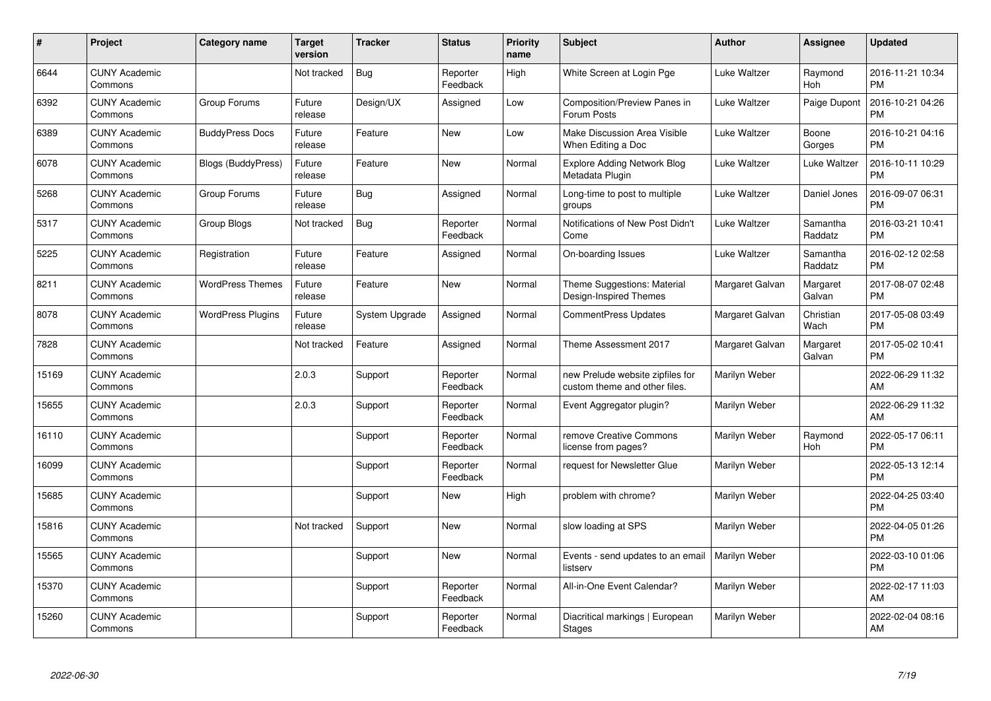| #     | Project                         | <b>Category name</b>      | <b>Target</b><br>version | <b>Tracker</b> | <b>Status</b>        | <b>Priority</b><br>name | <b>Subject</b>                                                    | <b>Author</b>   | <b>Assignee</b>     | <b>Updated</b>                |
|-------|---------------------------------|---------------------------|--------------------------|----------------|----------------------|-------------------------|-------------------------------------------------------------------|-----------------|---------------------|-------------------------------|
| 6644  | <b>CUNY Academic</b><br>Commons |                           | Not tracked              | <b>Bug</b>     | Reporter<br>Feedback | High                    | White Screen at Login Pge                                         | Luke Waltzer    | Raymond<br>Hoh      | 2016-11-21 10:34<br><b>PM</b> |
| 6392  | <b>CUNY Academic</b><br>Commons | Group Forums              | Future<br>release        | Design/UX      | Assigned             | Low                     | Composition/Preview Panes in<br>Forum Posts                       | Luke Waltzer    | Paige Dupont        | 2016-10-21 04:26<br><b>PM</b> |
| 6389  | <b>CUNY Academic</b><br>Commons | <b>BuddyPress Docs</b>    | Future<br>release        | Feature        | <b>New</b>           | Low                     | Make Discussion Area Visible<br>When Editing a Doc                | Luke Waltzer    | Boone<br>Gorges     | 2016-10-21 04:16<br><b>PM</b> |
| 6078  | <b>CUNY Academic</b><br>Commons | <b>Blogs (BuddyPress)</b> | Future<br>release        | Feature        | <b>New</b>           | Normal                  | <b>Explore Adding Network Blog</b><br>Metadata Plugin             | Luke Waltzer    | Luke Waltzer        | 2016-10-11 10:29<br><b>PM</b> |
| 5268  | <b>CUNY Academic</b><br>Commons | Group Forums              | Future<br>release        | Bug            | Assigned             | Normal                  | Long-time to post to multiple<br>groups                           | Luke Waltzer    | Daniel Jones        | 2016-09-07 06:31<br><b>PM</b> |
| 5317  | <b>CUNY Academic</b><br>Commons | Group Blogs               | Not tracked              | Bug            | Reporter<br>Feedback | Normal                  | Notifications of New Post Didn't<br>Come                          | Luke Waltzer    | Samantha<br>Raddatz | 2016-03-21 10:41<br><b>PM</b> |
| 5225  | <b>CUNY Academic</b><br>Commons | Registration              | Future<br>release        | Feature        | Assigned             | Normal                  | On-boarding Issues                                                | Luke Waltzer    | Samantha<br>Raddatz | 2016-02-12 02:58<br><b>PM</b> |
| 8211  | <b>CUNY Academic</b><br>Commons | <b>WordPress Themes</b>   | Future<br>release        | Feature        | <b>New</b>           | Normal                  | Theme Suggestions: Material<br>Design-Inspired Themes             | Margaret Galvan | Margaret<br>Galvan  | 2017-08-07 02:48<br><b>PM</b> |
| 8078  | <b>CUNY Academic</b><br>Commons | <b>WordPress Plugins</b>  | Future<br>release        | System Upgrade | Assigned             | Normal                  | <b>CommentPress Updates</b>                                       | Margaret Galvan | Christian<br>Wach   | 2017-05-08 03:49<br><b>PM</b> |
| 7828  | <b>CUNY Academic</b><br>Commons |                           | Not tracked              | Feature        | Assigned             | Normal                  | Theme Assessment 2017                                             | Margaret Galvan | Margaret<br>Galvan  | 2017-05-02 10:41<br><b>PM</b> |
| 15169 | <b>CUNY Academic</b><br>Commons |                           | 2.0.3                    | Support        | Reporter<br>Feedback | Normal                  | new Prelude website zipfiles for<br>custom theme and other files. | Marilyn Weber   |                     | 2022-06-29 11:32<br>AM        |
| 15655 | <b>CUNY Academic</b><br>Commons |                           | 2.0.3                    | Support        | Reporter<br>Feedback | Normal                  | Event Aggregator plugin?                                          | Marilyn Weber   |                     | 2022-06-29 11:32<br>AM        |
| 16110 | <b>CUNY Academic</b><br>Commons |                           |                          | Support        | Reporter<br>Feedback | Normal                  | remove Creative Commons<br>license from pages?                    | Marilyn Weber   | Raymond<br>Hoh      | 2022-05-17 06:11<br><b>PM</b> |
| 16099 | <b>CUNY Academic</b><br>Commons |                           |                          | Support        | Reporter<br>Feedback | Normal                  | request for Newsletter Glue                                       | Marilyn Weber   |                     | 2022-05-13 12:14<br><b>PM</b> |
| 15685 | <b>CUNY Academic</b><br>Commons |                           |                          | Support        | New                  | High                    | problem with chrome?                                              | Marilyn Weber   |                     | 2022-04-25 03:40<br><b>PM</b> |
| 15816 | <b>CUNY Academic</b><br>Commons |                           | Not tracked              | Support        | New                  | Normal                  | slow loading at SPS                                               | Marilyn Weber   |                     | 2022-04-05 01:26<br><b>PM</b> |
| 15565 | <b>CUNY Academic</b><br>Commons |                           |                          | Support        | New                  | Normal                  | Events - send updates to an email<br>listserv                     | Marilyn Weber   |                     | 2022-03-10 01:06<br><b>PM</b> |
| 15370 | <b>CUNY Academic</b><br>Commons |                           |                          | Support        | Reporter<br>Feedback | Normal                  | All-in-One Event Calendar?                                        | Marilyn Weber   |                     | 2022-02-17 11:03<br>AM        |
| 15260 | <b>CUNY Academic</b><br>Commons |                           |                          | Support        | Reporter<br>Feedback | Normal                  | Diacritical markings   European<br><b>Stages</b>                  | Marilyn Weber   |                     | 2022-02-04 08:16<br>AM        |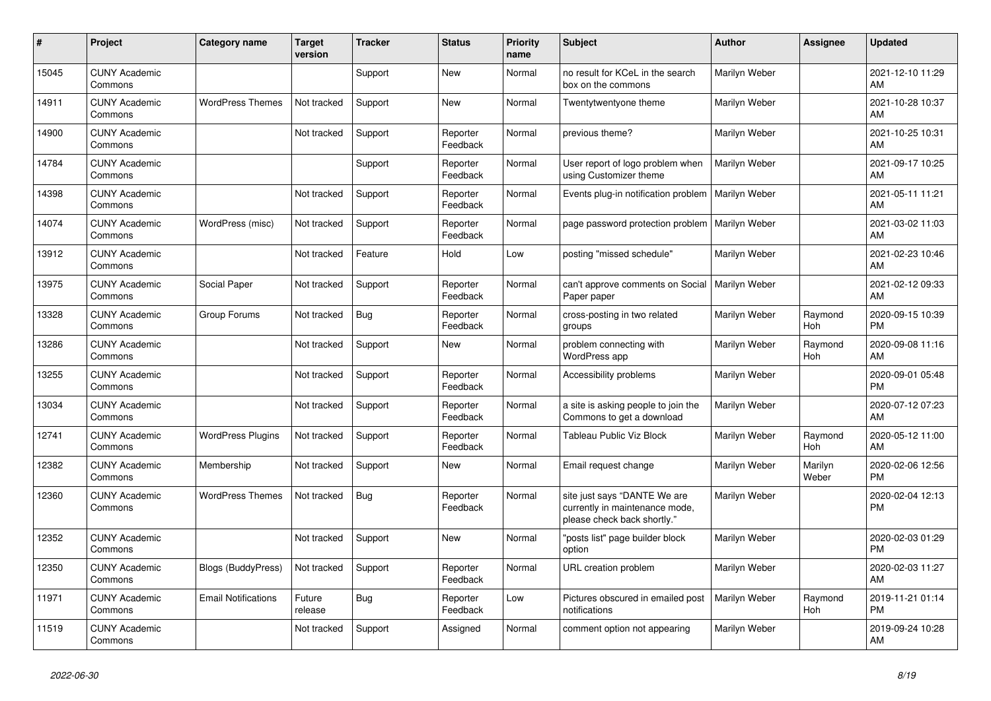| #     | Project                         | <b>Category name</b>       | <b>Target</b><br>version | <b>Tracker</b> | <b>Status</b>        | <b>Priority</b><br>name | <b>Subject</b>                                                                                | <b>Author</b>        | <b>Assignee</b>  | <b>Updated</b>                |
|-------|---------------------------------|----------------------------|--------------------------|----------------|----------------------|-------------------------|-----------------------------------------------------------------------------------------------|----------------------|------------------|-------------------------------|
| 15045 | <b>CUNY Academic</b><br>Commons |                            |                          | Support        | New                  | Normal                  | no result for KCeL in the search<br>box on the commons                                        | Marilyn Weber        |                  | 2021-12-10 11:29<br>AM        |
| 14911 | <b>CUNY Academic</b><br>Commons | <b>WordPress Themes</b>    | Not tracked              | Support        | New                  | Normal                  | Twentytwentyone theme                                                                         | Marilyn Weber        |                  | 2021-10-28 10:37<br>AM        |
| 14900 | <b>CUNY Academic</b><br>Commons |                            | Not tracked              | Support        | Reporter<br>Feedback | Normal                  | previous theme?                                                                               | Marilyn Weber        |                  | 2021-10-25 10:31<br>AM        |
| 14784 | <b>CUNY Academic</b><br>Commons |                            |                          | Support        | Reporter<br>Feedback | Normal                  | User report of logo problem when<br>using Customizer theme                                    | <b>Marilyn Weber</b> |                  | 2021-09-17 10:25<br>AM        |
| 14398 | <b>CUNY Academic</b><br>Commons |                            | Not tracked              | Support        | Reporter<br>Feedback | Normal                  | Events plug-in notification problem                                                           | Marilyn Weber        |                  | 2021-05-11 11:21<br>AM        |
| 14074 | <b>CUNY Academic</b><br>Commons | WordPress (misc)           | Not tracked              | Support        | Reporter<br>Feedback | Normal                  | page password protection problem                                                              | Marilyn Weber        |                  | 2021-03-02 11:03<br>AM        |
| 13912 | <b>CUNY Academic</b><br>Commons |                            | Not tracked              | Feature        | Hold                 | Low                     | posting "missed schedule"                                                                     | Marilyn Weber        |                  | 2021-02-23 10:46<br>AM        |
| 13975 | <b>CUNY Academic</b><br>Commons | Social Paper               | Not tracked              | Support        | Reporter<br>Feedback | Normal                  | can't approve comments on Social<br>Paper paper                                               | Marilyn Weber        |                  | 2021-02-12 09:33<br>AM        |
| 13328 | <b>CUNY Academic</b><br>Commons | Group Forums               | Not tracked              | Bug            | Reporter<br>Feedback | Normal                  | cross-posting in two related<br>groups                                                        | Marilyn Weber        | Raymond<br>Hoh   | 2020-09-15 10:39<br><b>PM</b> |
| 13286 | <b>CUNY Academic</b><br>Commons |                            | Not tracked              | Support        | <b>New</b>           | Normal                  | problem connecting with<br>WordPress app                                                      | Marilyn Weber        | Raymond<br>Hoh   | 2020-09-08 11:16<br>AM        |
| 13255 | <b>CUNY Academic</b><br>Commons |                            | Not tracked              | Support        | Reporter<br>Feedback | Normal                  | Accessibility problems                                                                        | Marilyn Weber        |                  | 2020-09-01 05:48<br><b>PM</b> |
| 13034 | <b>CUNY Academic</b><br>Commons |                            | Not tracked              | Support        | Reporter<br>Feedback | Normal                  | a site is asking people to join the<br>Commons to get a download                              | Marilyn Weber        |                  | 2020-07-12 07:23<br>AM        |
| 12741 | <b>CUNY Academic</b><br>Commons | <b>WordPress Plugins</b>   | Not tracked              | Support        | Reporter<br>Feedback | Normal                  | <b>Tableau Public Viz Block</b>                                                               | Marilyn Weber        | Raymond<br>Hoh   | 2020-05-12 11:00<br>AM        |
| 12382 | <b>CUNY Academic</b><br>Commons | Membership                 | Not tracked              | Support        | New                  | Normal                  | Email request change                                                                          | Marilyn Weber        | Marilyn<br>Weber | 2020-02-06 12:56<br><b>PM</b> |
| 12360 | <b>CUNY Academic</b><br>Commons | <b>WordPress Themes</b>    | Not tracked              | <b>Bug</b>     | Reporter<br>Feedback | Normal                  | site just says "DANTE We are<br>currently in maintenance mode,<br>please check back shortly." | Marilyn Weber        |                  | 2020-02-04 12:13<br><b>PM</b> |
| 12352 | <b>CUNY Academic</b><br>Commons |                            | Not tracked              | Support        | New                  | Normal                  | "posts list" page builder block<br>option                                                     | Marilyn Weber        |                  | 2020-02-03 01:29<br><b>PM</b> |
| 12350 | <b>CUNY Academic</b><br>Commons | <b>Blogs (BuddyPress)</b>  | Not tracked              | Support        | Reporter<br>Feedback | Normal                  | URL creation problem                                                                          | Marilyn Weber        |                  | 2020-02-03 11:27<br>AM        |
| 11971 | <b>CUNY Academic</b><br>Commons | <b>Email Notifications</b> | Future<br>release        | Bug            | Reporter<br>Feedback | Low                     | Pictures obscured in emailed post<br>notifications                                            | Marilyn Weber        | Raymond<br>Hoh   | 2019-11-21 01:14<br><b>PM</b> |
| 11519 | <b>CUNY Academic</b><br>Commons |                            | Not tracked              | Support        | Assigned             | Normal                  | comment option not appearing                                                                  | Marilyn Weber        |                  | 2019-09-24 10:28<br>AM        |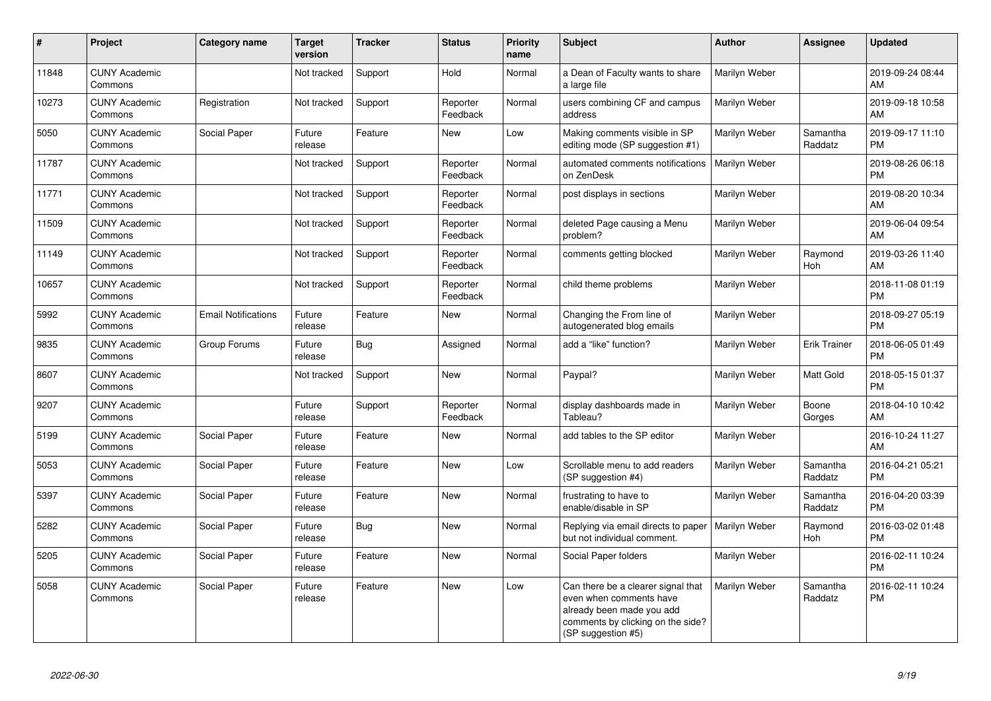| $\pmb{\#}$ | Project                         | <b>Category name</b>       | <b>Target</b><br>version | <b>Tracker</b> | <b>Status</b>        | <b>Priority</b><br>name | <b>Subject</b>                                                                                                                                        | <b>Author</b> | Assignee              | <b>Updated</b>                |
|------------|---------------------------------|----------------------------|--------------------------|----------------|----------------------|-------------------------|-------------------------------------------------------------------------------------------------------------------------------------------------------|---------------|-----------------------|-------------------------------|
| 11848      | <b>CUNY Academic</b><br>Commons |                            | Not tracked              | Support        | Hold                 | Normal                  | a Dean of Faculty wants to share<br>a large file                                                                                                      | Marilyn Weber |                       | 2019-09-24 08:44<br>AM        |
| 10273      | <b>CUNY Academic</b><br>Commons | Registration               | Not tracked              | Support        | Reporter<br>Feedback | Normal                  | users combining CF and campus<br>address                                                                                                              | Marilyn Weber |                       | 2019-09-18 10:58<br>AM        |
| 5050       | <b>CUNY Academic</b><br>Commons | Social Paper               | Future<br>release        | Feature        | New                  | Low                     | Making comments visible in SP<br>editing mode (SP suggestion #1)                                                                                      | Marilyn Weber | Samantha<br>Raddatz   | 2019-09-17 11:10<br><b>PM</b> |
| 11787      | <b>CUNY Academic</b><br>Commons |                            | Not tracked              | Support        | Reporter<br>Feedback | Normal                  | automated comments notifications<br>on ZenDesk                                                                                                        | Marilyn Weber |                       | 2019-08-26 06:18<br><b>PM</b> |
| 11771      | <b>CUNY Academic</b><br>Commons |                            | Not tracked              | Support        | Reporter<br>Feedback | Normal                  | post displays in sections                                                                                                                             | Marilyn Weber |                       | 2019-08-20 10:34<br>AM        |
| 11509      | <b>CUNY Academic</b><br>Commons |                            | Not tracked              | Support        | Reporter<br>Feedback | Normal                  | deleted Page causing a Menu<br>problem?                                                                                                               | Marilyn Weber |                       | 2019-06-04 09:54<br>AM        |
| 11149      | <b>CUNY Academic</b><br>Commons |                            | Not tracked              | Support        | Reporter<br>Feedback | Normal                  | comments getting blocked                                                                                                                              | Marilyn Weber | Raymond<br><b>Hoh</b> | 2019-03-26 11:40<br>AM        |
| 10657      | <b>CUNY Academic</b><br>Commons |                            | Not tracked              | Support        | Reporter<br>Feedback | Normal                  | child theme problems                                                                                                                                  | Marilyn Weber |                       | 2018-11-08 01:19<br><b>PM</b> |
| 5992       | <b>CUNY Academic</b><br>Commons | <b>Email Notifications</b> | Future<br>release        | Feature        | New                  | Normal                  | Changing the From line of<br>autogenerated blog emails                                                                                                | Marilyn Weber |                       | 2018-09-27 05:19<br><b>PM</b> |
| 9835       | <b>CUNY Academic</b><br>Commons | Group Forums               | Future<br>release        | Bug            | Assigned             | Normal                  | add a "like" function?                                                                                                                                | Marilyn Weber | Erik Trainer          | 2018-06-05 01:49<br><b>PM</b> |
| 8607       | <b>CUNY Academic</b><br>Commons |                            | Not tracked              | Support        | <b>New</b>           | Normal                  | Paypal?                                                                                                                                               | Marilyn Weber | Matt Gold             | 2018-05-15 01:37<br><b>PM</b> |
| 9207       | <b>CUNY Academic</b><br>Commons |                            | Future<br>release        | Support        | Reporter<br>Feedback | Normal                  | display dashboards made in<br>Tableau?                                                                                                                | Marilyn Weber | Boone<br>Gorges       | 2018-04-10 10:42<br>AM        |
| 5199       | <b>CUNY Academic</b><br>Commons | Social Paper               | Future<br>release        | Feature        | <b>New</b>           | Normal                  | add tables to the SP editor                                                                                                                           | Marilyn Weber |                       | 2016-10-24 11:27<br>AM        |
| 5053       | <b>CUNY Academic</b><br>Commons | Social Paper               | Future<br>release        | Feature        | <b>New</b>           | Low                     | Scrollable menu to add readers<br>(SP suggestion #4)                                                                                                  | Marilyn Weber | Samantha<br>Raddatz   | 2016-04-21 05:21<br><b>PM</b> |
| 5397       | <b>CUNY Academic</b><br>Commons | Social Paper               | Future<br>release        | Feature        | New                  | Normal                  | frustrating to have to<br>enable/disable in SP                                                                                                        | Marilyn Weber | Samantha<br>Raddatz   | 2016-04-20 03:39<br><b>PM</b> |
| 5282       | <b>CUNY Academic</b><br>Commons | Social Paper               | Future<br>release        | Bug            | New                  | Normal                  | Replying via email directs to paper<br>but not individual comment.                                                                                    | Marilyn Weber | Raymond<br>Hoh        | 2016-03-02 01:48<br><b>PM</b> |
| 5205       | <b>CUNY Academic</b><br>Commons | Social Paper               | Future<br>release        | Feature        | New                  | Normal                  | Social Paper folders                                                                                                                                  | Marilyn Weber |                       | 2016-02-11 10:24<br><b>PM</b> |
| 5058       | <b>CUNY Academic</b><br>Commons | Social Paper               | Future<br>release        | Feature        | <b>New</b>           | Low                     | Can there be a clearer signal that<br>even when comments have<br>already been made you add<br>comments by clicking on the side?<br>(SP suggestion #5) | Marilyn Weber | Samantha<br>Raddatz   | 2016-02-11 10:24<br><b>PM</b> |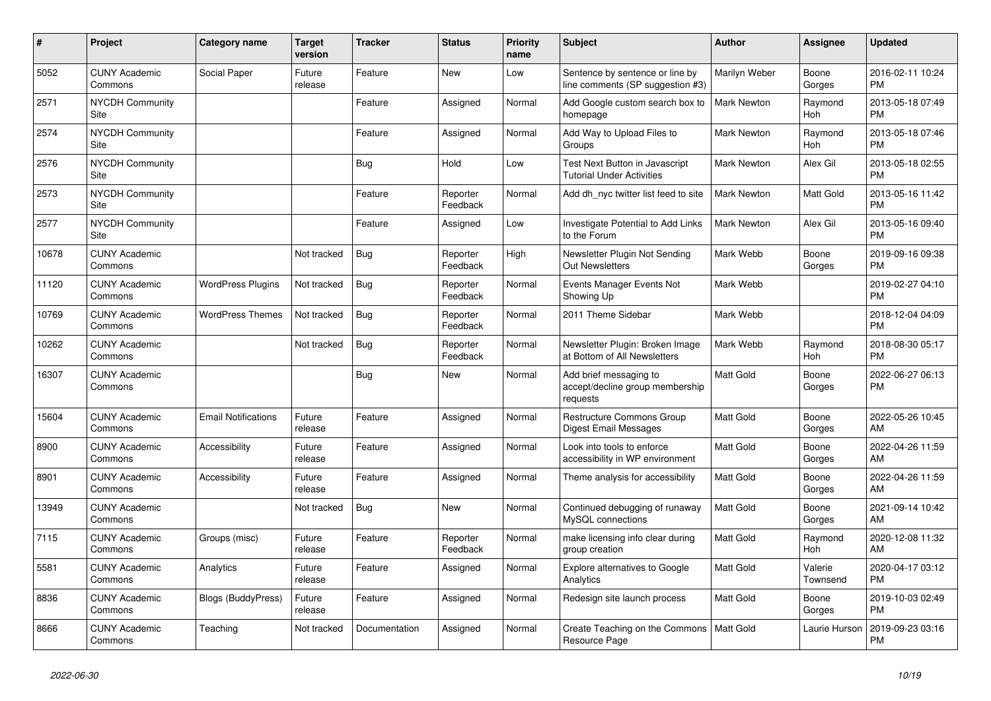| #     | Project                               | Category name              | <b>Target</b><br>version | <b>Tracker</b> | <b>Status</b>        | <b>Priority</b><br>name | <b>Subject</b>                                                        | <b>Author</b>      | Assignee              | <b>Updated</b>                |
|-------|---------------------------------------|----------------------------|--------------------------|----------------|----------------------|-------------------------|-----------------------------------------------------------------------|--------------------|-----------------------|-------------------------------|
| 5052  | <b>CUNY Academic</b><br>Commons       | Social Paper               | Future<br>release        | Feature        | <b>New</b>           | Low                     | Sentence by sentence or line by<br>line comments (SP suggestion #3)   | Marilyn Weber      | Boone<br>Gorges       | 2016-02-11 10:24<br><b>PM</b> |
| 2571  | <b>NYCDH Community</b><br>Site        |                            |                          | Feature        | Assigned             | Normal                  | Add Google custom search box to<br>homepage                           | <b>Mark Newton</b> | Raymond<br><b>Hoh</b> | 2013-05-18 07:49<br><b>PM</b> |
| 2574  | <b>NYCDH Community</b><br>Site        |                            |                          | Feature        | Assigned             | Normal                  | Add Way to Upload Files to<br>Groups                                  | <b>Mark Newton</b> | Raymond<br>Hoh        | 2013-05-18 07:46<br><b>PM</b> |
| 2576  | <b>NYCDH Community</b><br>Site        |                            |                          | <b>Bug</b>     | Hold                 | Low                     | Test Next Button in Javascript<br><b>Tutorial Under Activities</b>    | Mark Newton        | Alex Gil              | 2013-05-18 02:55<br><b>PM</b> |
| 2573  | <b>NYCDH Community</b><br>Site        |                            |                          | Feature        | Reporter<br>Feedback | Normal                  | Add dh nyc twitter list feed to site                                  | <b>Mark Newton</b> | Matt Gold             | 2013-05-16 11:42<br><b>PM</b> |
| 2577  | <b>NYCDH Community</b><br><b>Site</b> |                            |                          | Feature        | Assigned             | Low                     | Investigate Potential to Add Links<br>to the Forum                    | <b>Mark Newton</b> | Alex Gil              | 2013-05-16 09:40<br><b>PM</b> |
| 10678 | <b>CUNY Academic</b><br>Commons       |                            | Not tracked              | Bug            | Reporter<br>Feedback | High                    | Newsletter Plugin Not Sending<br><b>Out Newsletters</b>               | Mark Webb          | Boone<br>Gorges       | 2019-09-16 09:38<br><b>PM</b> |
| 11120 | <b>CUNY Academic</b><br>Commons       | <b>WordPress Plugins</b>   | Not tracked              | Bug            | Reporter<br>Feedback | Normal                  | Events Manager Events Not<br>Showing Up                               | Mark Webb          |                       | 2019-02-27 04:10<br><b>PM</b> |
| 10769 | <b>CUNY Academic</b><br>Commons       | <b>WordPress Themes</b>    | Not tracked              | Bug            | Reporter<br>Feedback | Normal                  | 2011 Theme Sidebar                                                    | Mark Webb          |                       | 2018-12-04 04:09<br><b>PM</b> |
| 10262 | <b>CUNY Academic</b><br>Commons       |                            | Not tracked              | Bug            | Reporter<br>Feedback | Normal                  | Newsletter Plugin: Broken Image<br>at Bottom of All Newsletters       | Mark Webb          | Raymond<br>Hoh        | 2018-08-30 05:17<br><b>PM</b> |
| 16307 | <b>CUNY Academic</b><br>Commons       |                            |                          | Bug            | <b>New</b>           | Normal                  | Add brief messaging to<br>accept/decline group membership<br>requests | <b>Matt Gold</b>   | Boone<br>Gorges       | 2022-06-27 06:13<br><b>PM</b> |
| 15604 | <b>CUNY Academic</b><br>Commons       | <b>Email Notifications</b> | Future<br>release        | Feature        | Assigned             | Normal                  | <b>Restructure Commons Group</b><br>Digest Email Messages             | <b>Matt Gold</b>   | Boone<br>Gorges       | 2022-05-26 10:45<br>AM        |
| 8900  | <b>CUNY Academic</b><br>Commons       | Accessibility              | Future<br>release        | Feature        | Assigned             | Normal                  | Look into tools to enforce<br>accessibility in WP environment         | <b>Matt Gold</b>   | Boone<br>Gorges       | 2022-04-26 11:59<br>AM        |
| 8901  | <b>CUNY Academic</b><br>Commons       | <b>Accessibility</b>       | Future<br>release        | Feature        | Assigned             | Normal                  | Theme analysis for accessibility                                      | <b>Matt Gold</b>   | Boone<br>Gorges       | 2022-04-26 11:59<br>AM        |
| 13949 | <b>CUNY Academic</b><br>Commons       |                            | Not tracked              | Bug            | <b>New</b>           | Normal                  | Continued debugging of runaway<br>MySQL connections                   | <b>Matt Gold</b>   | Boone<br>Gorges       | 2021-09-14 10:42<br>AM        |
| 7115  | <b>CUNY Academic</b><br>Commons       | Groups (misc)              | Future<br>release        | Feature        | Reporter<br>Feedback | Normal                  | make licensing info clear during<br>group creation                    | Matt Gold          | Raymond<br>Hoh        | 2020-12-08 11:32<br>AM        |
| 5581  | <b>CUNY Academic</b><br>Commons       | Analytics                  | Future<br>release        | Feature        | Assigned             | Normal                  | <b>Explore alternatives to Google</b><br>Analytics                    | <b>Matt Gold</b>   | Valerie<br>Townsend   | 2020-04-17 03:12<br><b>PM</b> |
| 8836  | <b>CUNY Academic</b><br>Commons       | <b>Blogs (BuddyPress)</b>  | Future<br>release        | Feature        | Assigned             | Normal                  | Redesign site launch process                                          | <b>Matt Gold</b>   | Boone<br>Gorges       | 2019-10-03 02:49<br><b>PM</b> |
| 8666  | <b>CUNY Academic</b><br>Commons       | Teaching                   | Not tracked              | Documentation  | Assigned             | Normal                  | Create Teaching on the Commons   Matt Gold<br>Resource Page           |                    | Laurie Hurson         | 2019-09-23 03:16<br><b>PM</b> |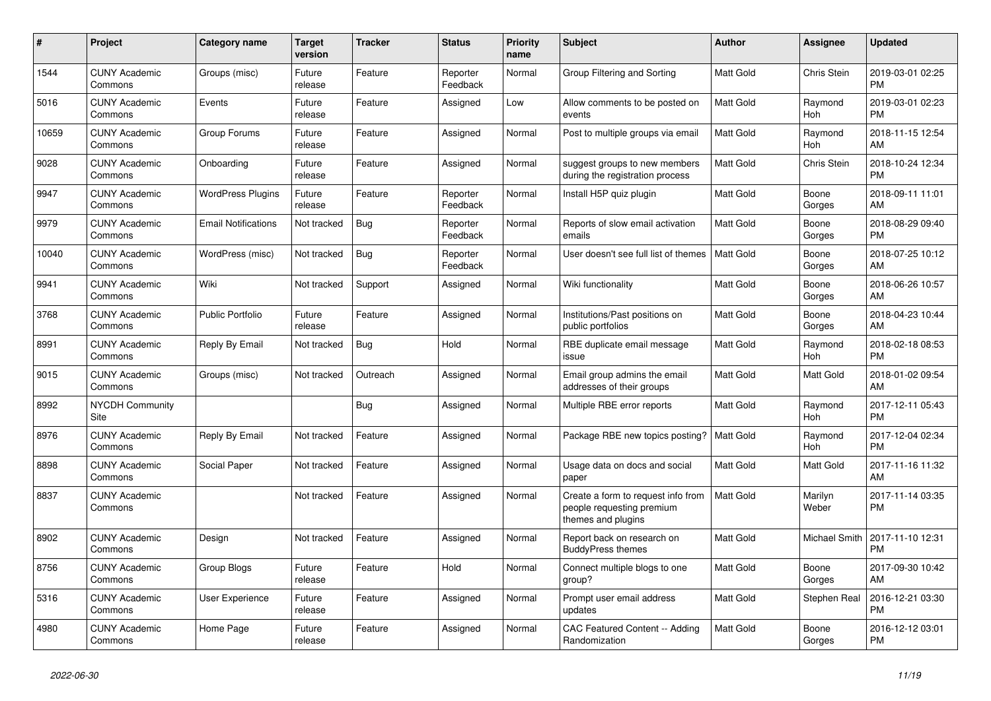| #     | Project                         | Category name              | <b>Target</b><br>version | <b>Tracker</b> | <b>Status</b>        | <b>Priority</b><br>name | <b>Subject</b>                                                                        | <b>Author</b>    | Assignee         | <b>Updated</b>                |
|-------|---------------------------------|----------------------------|--------------------------|----------------|----------------------|-------------------------|---------------------------------------------------------------------------------------|------------------|------------------|-------------------------------|
| 1544  | <b>CUNY Academic</b><br>Commons | Groups (misc)              | Future<br>release        | Feature        | Reporter<br>Feedback | Normal                  | Group Filtering and Sorting                                                           | <b>Matt Gold</b> | Chris Stein      | 2019-03-01 02:25<br><b>PM</b> |
| 5016  | <b>CUNY Academic</b><br>Commons | Events                     | Future<br>release        | Feature        | Assigned             | Low                     | Allow comments to be posted on<br>events                                              | <b>Matt Gold</b> | Raymond<br>Hoh   | 2019-03-01 02:23<br><b>PM</b> |
| 10659 | <b>CUNY Academic</b><br>Commons | Group Forums               | Future<br>release        | Feature        | Assigned             | Normal                  | Post to multiple groups via email                                                     | <b>Matt Gold</b> | Raymond<br>Hoh   | 2018-11-15 12:54<br>AM        |
| 9028  | <b>CUNY Academic</b><br>Commons | Onboarding                 | Future<br>release        | Feature        | Assigned             | Normal                  | suggest groups to new members<br>during the registration process                      | <b>Matt Gold</b> | Chris Stein      | 2018-10-24 12:34<br><b>PM</b> |
| 9947  | <b>CUNY Academic</b><br>Commons | <b>WordPress Plugins</b>   | Future<br>release        | Feature        | Reporter<br>Feedback | Normal                  | Install H5P quiz plugin                                                               | Matt Gold        | Boone<br>Gorges  | 2018-09-11 11:01<br>AM        |
| 9979  | <b>CUNY Academic</b><br>Commons | <b>Email Notifications</b> | Not tracked              | Bug            | Reporter<br>Feedback | Normal                  | Reports of slow email activation<br>emails                                            | Matt Gold        | Boone<br>Gorges  | 2018-08-29 09:40<br><b>PM</b> |
| 10040 | <b>CUNY Academic</b><br>Commons | WordPress (misc)           | Not tracked              | <b>Bug</b>     | Reporter<br>Feedback | Normal                  | User doesn't see full list of themes                                                  | <b>Matt Gold</b> | Boone<br>Gorges  | 2018-07-25 10:12<br>AM        |
| 9941  | <b>CUNY Academic</b><br>Commons | Wiki                       | Not tracked              | Support        | Assigned             | Normal                  | Wiki functionality                                                                    | <b>Matt Gold</b> | Boone<br>Gorges  | 2018-06-26 10:57<br>AM        |
| 3768  | <b>CUNY Academic</b><br>Commons | Public Portfolio           | Future<br>release        | Feature        | Assigned             | Normal                  | Institutions/Past positions on<br>public portfolios                                   | Matt Gold        | Boone<br>Gorges  | 2018-04-23 10:44<br>AM        |
| 8991  | <b>CUNY Academic</b><br>Commons | Reply By Email             | Not tracked              | Bug            | Hold                 | Normal                  | RBE duplicate email message<br>issue                                                  | <b>Matt Gold</b> | Raymond<br>Hoh   | 2018-02-18 08:53<br><b>PM</b> |
| 9015  | <b>CUNY Academic</b><br>Commons | Groups (misc)              | Not tracked              | Outreach       | Assigned             | Normal                  | Email group admins the email<br>addresses of their groups                             | <b>Matt Gold</b> | Matt Gold        | 2018-01-02 09:54<br>AM        |
| 8992  | <b>NYCDH Community</b><br>Site  |                            |                          | <b>Bug</b>     | Assigned             | Normal                  | Multiple RBE error reports                                                            | Matt Gold        | Raymond<br>Hoh   | 2017-12-11 05:43<br><b>PM</b> |
| 8976  | <b>CUNY Academic</b><br>Commons | Reply By Email             | Not tracked              | Feature        | Assigned             | Normal                  | Package RBE new topics posting?                                                       | <b>Matt Gold</b> | Raymond<br>Hoh   | 2017-12-04 02:34<br><b>PM</b> |
| 8898  | <b>CUNY Academic</b><br>Commons | Social Paper               | Not tracked              | Feature        | Assigned             | Normal                  | Usage data on docs and social<br>paper                                                | <b>Matt Gold</b> | Matt Gold        | 2017-11-16 11:32<br>AM        |
| 8837  | <b>CUNY Academic</b><br>Commons |                            | Not tracked              | Feature        | Assigned             | Normal                  | Create a form to request info from<br>people requesting premium<br>themes and plugins | <b>Matt Gold</b> | Marilyn<br>Weber | 2017-11-14 03:35<br><b>PM</b> |
| 8902  | <b>CUNY Academic</b><br>Commons | Design                     | Not tracked              | Feature        | Assigned             | Normal                  | Report back on research on<br><b>BuddyPress themes</b>                                | <b>Matt Gold</b> | Michael Smith    | 2017-11-10 12:31<br><b>PM</b> |
| 8756  | <b>CUNY Academic</b><br>Commons | <b>Group Blogs</b>         | Future<br>release        | Feature        | Hold                 | Normal                  | Connect multiple blogs to one<br>group?                                               | <b>Matt Gold</b> | Boone<br>Gorges  | 2017-09-30 10:42<br>AM        |
| 5316  | <b>CUNY Academic</b><br>Commons | <b>User Experience</b>     | Future<br>release        | Feature        | Assigned             | Normal                  | Prompt user email address<br>updates                                                  | <b>Matt Gold</b> | Stephen Real     | 2016-12-21 03:30<br><b>PM</b> |
| 4980  | <b>CUNY Academic</b><br>Commons | Home Page                  | Future<br>release        | Feature        | Assigned             | Normal                  | CAC Featured Content -- Adding<br>Randomization                                       | <b>Matt Gold</b> | Boone<br>Gorges  | 2016-12-12 03:01<br><b>PM</b> |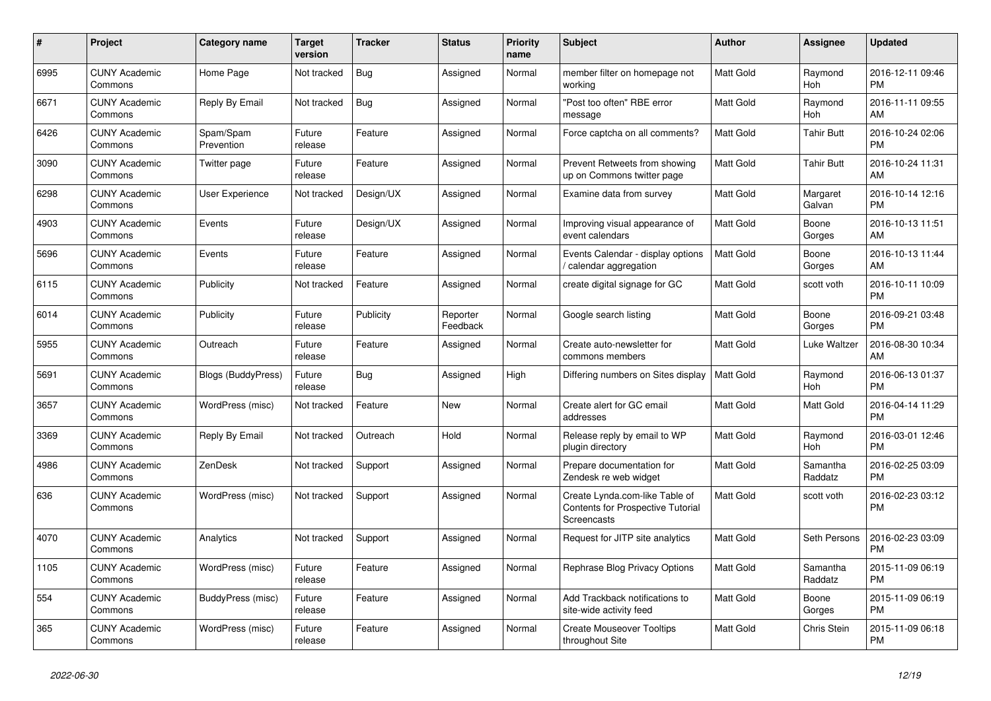| $\pmb{\#}$ | <b>Project</b>                  | <b>Category name</b>      | Target<br>version | <b>Tracker</b> | <b>Status</b>        | <b>Priority</b><br>name | <b>Subject</b>                                                                     | <b>Author</b>    | Assignee            | <b>Updated</b>                |
|------------|---------------------------------|---------------------------|-------------------|----------------|----------------------|-------------------------|------------------------------------------------------------------------------------|------------------|---------------------|-------------------------------|
| 6995       | <b>CUNY Academic</b><br>Commons | Home Page                 | Not tracked       | <b>Bug</b>     | Assigned             | Normal                  | member filter on homepage not<br>working                                           | <b>Matt Gold</b> | Raymond<br>Hoh      | 2016-12-11 09:46<br><b>PM</b> |
| 6671       | <b>CUNY Academic</b><br>Commons | Reply By Email            | Not tracked       | <b>Bug</b>     | Assigned             | Normal                  | "Post too often" RBE error<br>message                                              | <b>Matt Gold</b> | Raymond<br>Hoh      | 2016-11-11 09:55<br>AM        |
| 6426       | <b>CUNY Academic</b><br>Commons | Spam/Spam<br>Prevention   | Future<br>release | Feature        | Assigned             | Normal                  | Force captcha on all comments?                                                     | <b>Matt Gold</b> | Tahir Butt          | 2016-10-24 02:06<br><b>PM</b> |
| 3090       | <b>CUNY Academic</b><br>Commons | Twitter page              | Future<br>release | Feature        | Assigned             | Normal                  | Prevent Retweets from showing<br>up on Commons twitter page                        | Matt Gold        | <b>Tahir Butt</b>   | 2016-10-24 11:31<br>AM        |
| 6298       | <b>CUNY Academic</b><br>Commons | <b>User Experience</b>    | Not tracked       | Design/UX      | Assigned             | Normal                  | Examine data from survey                                                           | <b>Matt Gold</b> | Margaret<br>Galvan  | 2016-10-14 12:16<br><b>PM</b> |
| 4903       | <b>CUNY Academic</b><br>Commons | Events                    | Future<br>release | Design/UX      | Assigned             | Normal                  | Improving visual appearance of<br>event calendars                                  | <b>Matt Gold</b> | Boone<br>Gorges     | 2016-10-13 11:51<br>AM        |
| 5696       | <b>CUNY Academic</b><br>Commons | Events                    | Future<br>release | Feature        | Assigned             | Normal                  | Events Calendar - display options<br>/ calendar aggregation                        | Matt Gold        | Boone<br>Gorges     | 2016-10-13 11:44<br>AM        |
| 6115       | <b>CUNY Academic</b><br>Commons | Publicity                 | Not tracked       | Feature        | Assigned             | Normal                  | create digital signage for GC                                                      | <b>Matt Gold</b> | scott voth          | 2016-10-11 10:09<br><b>PM</b> |
| 6014       | <b>CUNY Academic</b><br>Commons | Publicity                 | Future<br>release | Publicity      | Reporter<br>Feedback | Normal                  | Google search listing                                                              | Matt Gold        | Boone<br>Gorges     | 2016-09-21 03:48<br><b>PM</b> |
| 5955       | <b>CUNY Academic</b><br>Commons | Outreach                  | Future<br>release | Feature        | Assigned             | Normal                  | Create auto-newsletter for<br>commons members                                      | <b>Matt Gold</b> | Luke Waltzer        | 2016-08-30 10:34<br>AM        |
| 5691       | <b>CUNY Academic</b><br>Commons | <b>Blogs (BuddyPress)</b> | Future<br>release | <b>Bug</b>     | Assigned             | High                    | Differing numbers on Sites display                                                 | <b>Matt Gold</b> | Raymond<br>Hoh      | 2016-06-13 01:37<br><b>PM</b> |
| 3657       | <b>CUNY Academic</b><br>Commons | WordPress (misc)          | Not tracked       | Feature        | <b>New</b>           | Normal                  | Create alert for GC email<br>addresses                                             | Matt Gold        | Matt Gold           | 2016-04-14 11:29<br><b>PM</b> |
| 3369       | <b>CUNY Academic</b><br>Commons | Reply By Email            | Not tracked       | Outreach       | Hold                 | Normal                  | Release reply by email to WP<br>plugin directory                                   | <b>Matt Gold</b> | Raymond<br>Hoh      | 2016-03-01 12:46<br><b>PM</b> |
| 4986       | <b>CUNY Academic</b><br>Commons | ZenDesk                   | Not tracked       | Support        | Assigned             | Normal                  | Prepare documentation for<br>Zendesk re web widget                                 | <b>Matt Gold</b> | Samantha<br>Raddatz | 2016-02-25 03:09<br><b>PM</b> |
| 636        | <b>CUNY Academic</b><br>Commons | WordPress (misc)          | Not tracked       | Support        | Assigned             | Normal                  | Create Lynda.com-like Table of<br>Contents for Prospective Tutorial<br>Screencasts | <b>Matt Gold</b> | scott voth          | 2016-02-23 03:12<br><b>PM</b> |
| 4070       | <b>CUNY Academic</b><br>Commons | Analytics                 | Not tracked       | Support        | Assigned             | Normal                  | Request for JITP site analytics                                                    | Matt Gold        | Seth Persons        | 2016-02-23 03:09<br><b>PM</b> |
| 1105       | <b>CUNY Academic</b><br>Commons | WordPress (misc)          | Future<br>release | Feature        | Assigned             | Normal                  | Rephrase Blog Privacy Options                                                      | <b>Matt Gold</b> | Samantha<br>Raddatz | 2015-11-09 06:19<br><b>PM</b> |
| 554        | <b>CUNY Academic</b><br>Commons | BuddyPress (misc)         | Future<br>release | Feature        | Assigned             | Normal                  | Add Trackback notifications to<br>site-wide activity feed                          | <b>Matt Gold</b> | Boone<br>Gorges     | 2015-11-09 06:19<br><b>PM</b> |
| 365        | <b>CUNY Academic</b><br>Commons | WordPress (misc)          | Future<br>release | Feature        | Assigned             | Normal                  | <b>Create Mouseover Tooltips</b><br>throughout Site                                | Matt Gold        | Chris Stein         | 2015-11-09 06:18<br><b>PM</b> |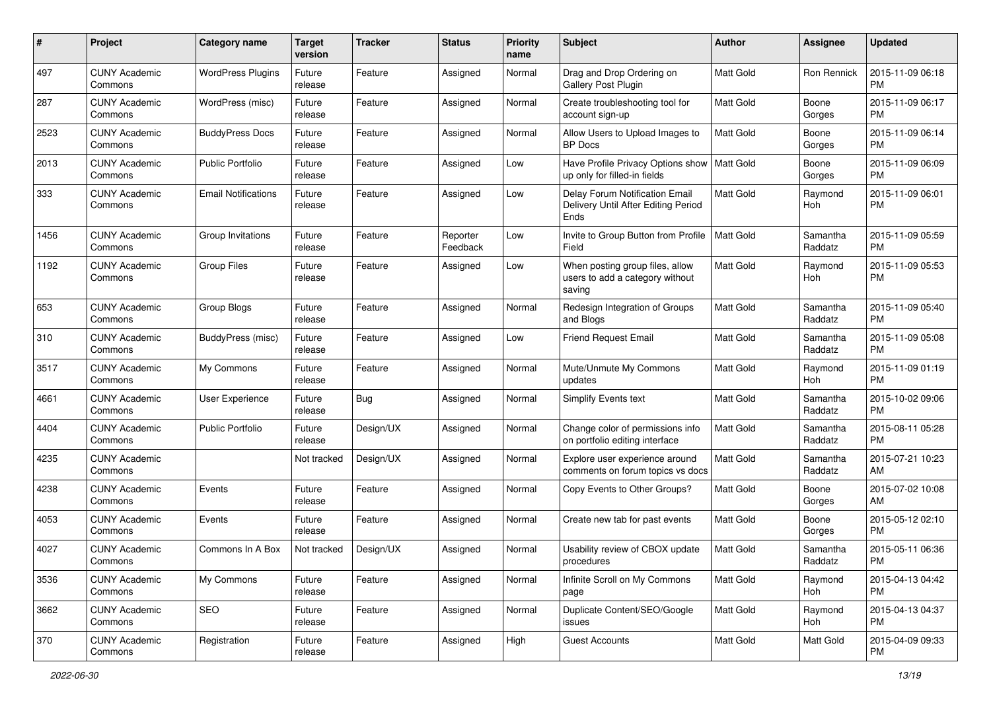| #    | Project                         | <b>Category name</b>       | <b>Target</b><br>version | <b>Tracker</b> | <b>Status</b>        | <b>Priority</b><br>name | Subject                                                                       | Author           | Assignee            | <b>Updated</b>                |
|------|---------------------------------|----------------------------|--------------------------|----------------|----------------------|-------------------------|-------------------------------------------------------------------------------|------------------|---------------------|-------------------------------|
| 497  | <b>CUNY Academic</b><br>Commons | <b>WordPress Plugins</b>   | Future<br>release        | Feature        | Assigned             | Normal                  | Drag and Drop Ordering on<br>Gallery Post Plugin                              | <b>Matt Gold</b> | <b>Ron Rennick</b>  | 2015-11-09 06:18<br><b>PM</b> |
| 287  | <b>CUNY Academic</b><br>Commons | WordPress (misc)           | Future<br>release        | Feature        | Assigned             | Normal                  | Create troubleshooting tool for<br>account sign-up                            | Matt Gold        | Boone<br>Gorges     | 2015-11-09 06:17<br><b>PM</b> |
| 2523 | CUNY Academic<br>Commons        | <b>BuddyPress Docs</b>     | Future<br>release        | Feature        | Assigned             | Normal                  | Allow Users to Upload Images to<br><b>BP</b> Docs                             | Matt Gold        | Boone<br>Gorges     | 2015-11-09 06:14<br><b>PM</b> |
| 2013 | <b>CUNY Academic</b><br>Commons | <b>Public Portfolio</b>    | Future<br>release        | Feature        | Assigned             | Low                     | Have Profile Privacy Options show   Matt Gold<br>up only for filled-in fields |                  | Boone<br>Gorges     | 2015-11-09 06:09<br><b>PM</b> |
| 333  | <b>CUNY Academic</b><br>Commons | <b>Email Notifications</b> | Future<br>release        | Feature        | Assigned             | Low                     | Delay Forum Notification Email<br>Delivery Until After Editing Period<br>Ends | Matt Gold        | Raymond<br>Hoh      | 2015-11-09 06:01<br><b>PM</b> |
| 1456 | <b>CUNY Academic</b><br>Commons | Group Invitations          | Future<br>release        | Feature        | Reporter<br>Feedback | Low                     | Invite to Group Button from Profile<br>Field                                  | <b>Matt Gold</b> | Samantha<br>Raddatz | 2015-11-09 05:59<br><b>PM</b> |
| 1192 | <b>CUNY Academic</b><br>Commons | <b>Group Files</b>         | Future<br>release        | Feature        | Assigned             | Low                     | When posting group files, allow<br>users to add a category without<br>saving  | Matt Gold        | Raymond<br>Hoh      | 2015-11-09 05:53<br><b>PM</b> |
| 653  | <b>CUNY Academic</b><br>Commons | Group Blogs                | Future<br>release        | Feature        | Assigned             | Normal                  | Redesign Integration of Groups<br>and Blogs                                   | Matt Gold        | Samantha<br>Raddatz | 2015-11-09 05:40<br><b>PM</b> |
| 310  | <b>CUNY Academic</b><br>Commons | BuddyPress (misc)          | Future<br>release        | Feature        | Assigned             | Low                     | <b>Friend Request Email</b>                                                   | Matt Gold        | Samantha<br>Raddatz | 2015-11-09 05:08<br><b>PM</b> |
| 3517 | <b>CUNY Academic</b><br>Commons | My Commons                 | Future<br>release        | Feature        | Assigned             | Normal                  | Mute/Unmute My Commons<br>updates                                             | <b>Matt Gold</b> | Raymond<br>Hoh      | 2015-11-09 01:19<br><b>PM</b> |
| 4661 | <b>CUNY Academic</b><br>Commons | User Experience            | Future<br>release        | Bug            | Assigned             | Normal                  | <b>Simplify Events text</b>                                                   | <b>Matt Gold</b> | Samantha<br>Raddatz | 2015-10-02 09:06<br><b>PM</b> |
| 4404 | <b>CUNY Academic</b><br>Commons | <b>Public Portfolio</b>    | Future<br>release        | Design/UX      | Assigned             | Normal                  | Change color of permissions info<br>on portfolio editing interface            | Matt Gold        | Samantha<br>Raddatz | 2015-08-11 05:28<br><b>PM</b> |
| 4235 | <b>CUNY Academic</b><br>Commons |                            | Not tracked              | Design/UX      | Assigned             | Normal                  | Explore user experience around<br>comments on forum topics vs docs            | <b>Matt Gold</b> | Samantha<br>Raddatz | 2015-07-21 10:23<br>AM        |
| 4238 | <b>CUNY Academic</b><br>Commons | Events                     | Future<br>release        | Feature        | Assigned             | Normal                  | Copy Events to Other Groups?                                                  | Matt Gold        | Boone<br>Gorges     | 2015-07-02 10:08<br>AM        |
| 4053 | <b>CUNY Academic</b><br>Commons | Events                     | Future<br>release        | Feature        | Assigned             | Normal                  | Create new tab for past events                                                | Matt Gold        | Boone<br>Gorges     | 2015-05-12 02:10<br><b>PM</b> |
| 4027 | CUNY Academic<br>Commons        | Commons In A Box           | Not tracked              | Design/UX      | Assigned             | Normal                  | Usability review of CBOX update<br>procedures                                 | <b>Matt Gold</b> | Samantha<br>Raddatz | 2015-05-11 06:36<br>PM        |
| 3536 | <b>CUNY Academic</b><br>Commons | My Commons                 | Future<br>release        | Feature        | Assigned             | Normal                  | Infinite Scroll on My Commons<br>page                                         | Matt Gold        | Raymond<br>Hoh      | 2015-04-13 04:42<br>PM        |
| 3662 | <b>CUNY Academic</b><br>Commons | SEO                        | Future<br>release        | Feature        | Assigned             | Normal                  | Duplicate Content/SEO/Google<br>issues                                        | Matt Gold        | Raymond<br>Hoh      | 2015-04-13 04:37<br><b>PM</b> |
| 370  | <b>CUNY Academic</b><br>Commons | Registration               | Future<br>release        | Feature        | Assigned             | High                    | <b>Guest Accounts</b>                                                         | Matt Gold        | Matt Gold           | 2015-04-09 09:33<br><b>PM</b> |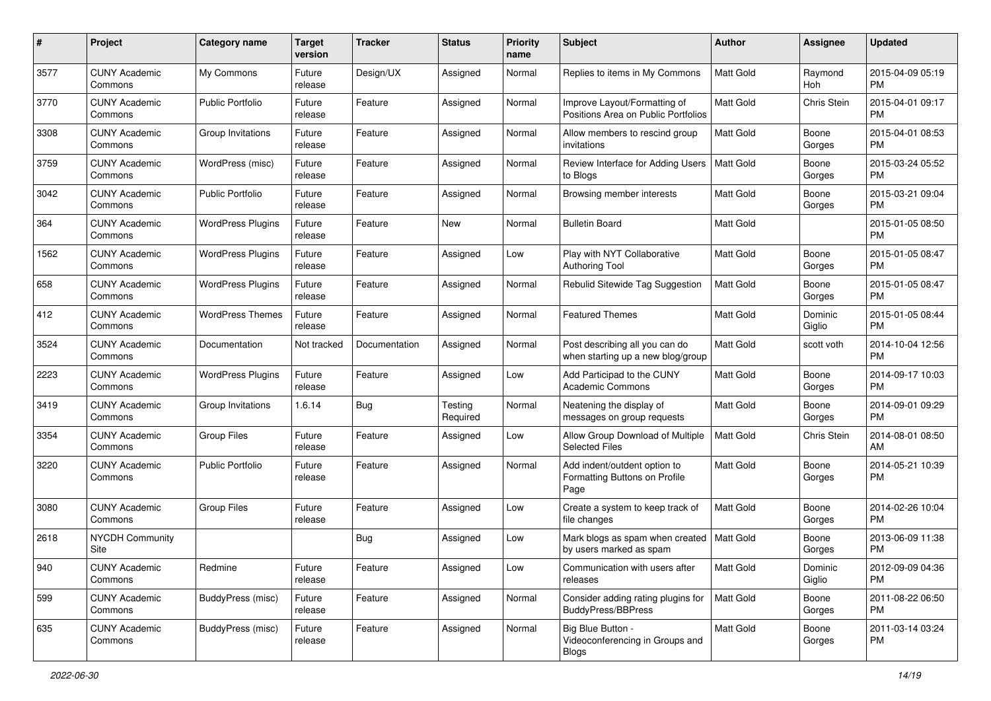| #    | Project                         | <b>Category name</b>     | <b>Target</b><br>version | Tracker       | <b>Status</b>       | <b>Priority</b><br>name | <b>Subject</b>                                                        | Author           | <b>Assignee</b>   | <b>Updated</b>                |
|------|---------------------------------|--------------------------|--------------------------|---------------|---------------------|-------------------------|-----------------------------------------------------------------------|------------------|-------------------|-------------------------------|
| 3577 | <b>CUNY Academic</b><br>Commons | My Commons               | Future<br>release        | Design/UX     | Assigned            | Normal                  | Replies to items in My Commons                                        | <b>Matt Gold</b> | Raymond<br>Hoh    | 2015-04-09 05:19<br>PM.       |
| 3770 | <b>CUNY Academic</b><br>Commons | <b>Public Portfolio</b>  | Future<br>release        | Feature       | Assigned            | Normal                  | Improve Layout/Formatting of<br>Positions Area on Public Portfolios   | <b>Matt Gold</b> | Chris Stein       | 2015-04-01 09:17<br><b>PM</b> |
| 3308 | <b>CUNY Academic</b><br>Commons | Group Invitations        | Future<br>release        | Feature       | Assigned            | Normal                  | Allow members to rescind group<br>invitations                         | Matt Gold        | Boone<br>Gorges   | 2015-04-01 08:53<br><b>PM</b> |
| 3759 | <b>CUNY Academic</b><br>Commons | WordPress (misc)         | Future<br>release        | Feature       | Assigned            | Normal                  | Review Interface for Adding Users<br>to Blogs                         | Matt Gold        | Boone<br>Gorges   | 2015-03-24 05:52<br><b>PM</b> |
| 3042 | <b>CUNY Academic</b><br>Commons | Public Portfolio         | Future<br>release        | Feature       | Assigned            | Normal                  | Browsing member interests                                             | Matt Gold        | Boone<br>Gorges   | 2015-03-21 09:04<br><b>PM</b> |
| 364  | <b>CUNY Academic</b><br>Commons | <b>WordPress Plugins</b> | Future<br>release        | Feature       | New                 | Normal                  | <b>Bulletin Board</b>                                                 | <b>Matt Gold</b> |                   | 2015-01-05 08:50<br>PM        |
| 1562 | <b>CUNY Academic</b><br>Commons | <b>WordPress Plugins</b> | Future<br>release        | Feature       | Assigned            | Low                     | Play with NYT Collaborative<br><b>Authoring Tool</b>                  | <b>Matt Gold</b> | Boone<br>Gorges   | 2015-01-05 08:47<br><b>PM</b> |
| 658  | <b>CUNY Academic</b><br>Commons | <b>WordPress Plugins</b> | Future<br>release        | Feature       | Assigned            | Normal                  | Rebulid Sitewide Tag Suggestion                                       | <b>Matt Gold</b> | Boone<br>Gorges   | 2015-01-05 08:47<br><b>PM</b> |
| 412  | <b>CUNY Academic</b><br>Commons | <b>WordPress Themes</b>  | Future<br>release        | Feature       | Assigned            | Normal                  | <b>Featured Themes</b>                                                | <b>Matt Gold</b> | Dominic<br>Giglio | 2015-01-05 08:44<br><b>PM</b> |
| 3524 | <b>CUNY Academic</b><br>Commons | Documentation            | Not tracked              | Documentation | Assigned            | Normal                  | Post describing all you can do<br>when starting up a new blog/group   | Matt Gold        | scott voth        | 2014-10-04 12:56<br><b>PM</b> |
| 2223 | <b>CUNY Academic</b><br>Commons | <b>WordPress Plugins</b> | Future<br>release        | Feature       | Assigned            | Low                     | Add Participad to the CUNY<br>Academic Commons                        | <b>Matt Gold</b> | Boone<br>Gorges   | 2014-09-17 10:03<br><b>PM</b> |
| 3419 | <b>CUNY Academic</b><br>Commons | Group Invitations        | 1.6.14                   | Bug           | Testing<br>Required | Normal                  | Neatening the display of<br>messages on group requests                | <b>Matt Gold</b> | Boone<br>Gorges   | 2014-09-01 09:29<br><b>PM</b> |
| 3354 | <b>CUNY Academic</b><br>Commons | Group Files              | Future<br>release        | Feature       | Assigned            | Low                     | Allow Group Download of Multiple<br><b>Selected Files</b>             | <b>Matt Gold</b> | Chris Stein       | 2014-08-01 08:50<br>AM        |
| 3220 | <b>CUNY Academic</b><br>Commons | <b>Public Portfolio</b>  | Future<br>release        | Feature       | Assigned            | Normal                  | Add indent/outdent option to<br>Formatting Buttons on Profile<br>Page | <b>Matt Gold</b> | Boone<br>Gorges   | 2014-05-21 10:39<br><b>PM</b> |
| 3080 | <b>CUNY Academic</b><br>Commons | <b>Group Files</b>       | Future<br>release        | Feature       | Assigned            | Low                     | Create a system to keep track of<br>file changes                      | <b>Matt Gold</b> | Boone<br>Gorges   | 2014-02-26 10:04<br><b>PM</b> |
| 2618 | <b>NYCDH Community</b><br>Site  |                          |                          | Bug           | Assigned            | Low                     | Mark blogs as spam when created<br>by users marked as spam            | Matt Gold        | Boone<br>Gorges   | 2013-06-09 11:38<br><b>PM</b> |
| 940  | <b>CUNY Academic</b><br>Commons | Redmine                  | Future<br>release        | Feature       | Assigned            | Low                     | Communication with users after<br>releases                            | Matt Gold        | Dominic<br>Giglio | 2012-09-09 04:36<br>PM        |
| 599  | <b>CUNY Academic</b><br>Commons | BuddyPress (misc)        | Future<br>release        | Feature       | Assigned            | Normal                  | Consider adding rating plugins for<br>BuddyPress/BBPress              | Matt Gold        | Boone<br>Gorges   | 2011-08-22 06:50<br><b>PM</b> |
| 635  | <b>CUNY Academic</b><br>Commons | BuddyPress (misc)        | Future<br>release        | Feature       | Assigned            | Normal                  | Big Blue Button -<br>Videoconferencing in Groups and<br><b>Blogs</b>  | Matt Gold        | Boone<br>Gorges   | 2011-03-14 03:24<br>PM        |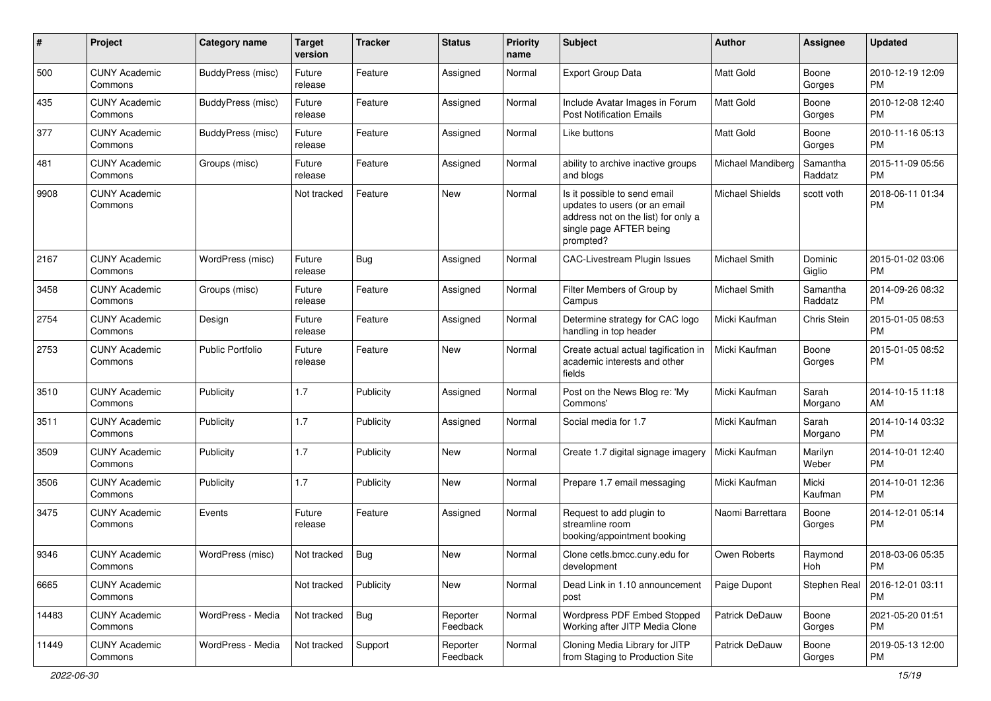| #     | Project                         | Category name            | <b>Target</b><br>version | <b>Tracker</b> | <b>Status</b>        | <b>Priority</b><br>name | <b>Subject</b>                                                                                                                               | Author               | <b>Assignee</b>     | <b>Updated</b>                |
|-------|---------------------------------|--------------------------|--------------------------|----------------|----------------------|-------------------------|----------------------------------------------------------------------------------------------------------------------------------------------|----------------------|---------------------|-------------------------------|
| 500   | <b>CUNY Academic</b><br>Commons | <b>BuddyPress (misc)</b> | Future<br>release        | Feature        | Assigned             | Normal                  | <b>Export Group Data</b>                                                                                                                     | <b>Matt Gold</b>     | Boone<br>Gorges     | 2010-12-19 12:09<br><b>PM</b> |
| 435   | <b>CUNY Academic</b><br>Commons | BuddyPress (misc)        | Future<br>release        | Feature        | Assigned             | Normal                  | Include Avatar Images in Forum<br><b>Post Notification Emails</b>                                                                            | Matt Gold            | Boone<br>Gorges     | 2010-12-08 12:40<br><b>PM</b> |
| 377   | <b>CUNY Academic</b><br>Commons | BuddyPress (misc)        | Future<br>release        | Feature        | Assigned             | Normal                  | Like buttons                                                                                                                                 | Matt Gold            | Boone<br>Gorges     | 2010-11-16 05:13<br><b>PM</b> |
| 481   | <b>CUNY Academic</b><br>Commons | Groups (misc)            | Future<br>release        | Feature        | Assigned             | Normal                  | ability to archive inactive groups<br>and blogs                                                                                              | Michael Mandiberg    | Samantha<br>Raddatz | 2015-11-09 05:56<br><b>PM</b> |
| 9908  | <b>CUNY Academic</b><br>Commons |                          | Not tracked              | Feature        | <b>New</b>           | Normal                  | Is it possible to send email<br>updates to users (or an email<br>address not on the list) for only a<br>single page AFTER being<br>prompted? | Michael Shields      | scott voth          | 2018-06-11 01:34<br><b>PM</b> |
| 2167  | <b>CUNY Academic</b><br>Commons | WordPress (misc)         | Future<br>release        | <b>Bug</b>     | Assigned             | Normal                  | CAC-Livestream Plugin Issues                                                                                                                 | <b>Michael Smith</b> | Dominic<br>Giglio   | 2015-01-02 03:06<br><b>PM</b> |
| 3458  | <b>CUNY Academic</b><br>Commons | Groups (misc)            | Future<br>release        | Feature        | Assigned             | Normal                  | Filter Members of Group by<br>Campus                                                                                                         | Michael Smith        | Samantha<br>Raddatz | 2014-09-26 08:32<br><b>PM</b> |
| 2754  | <b>CUNY Academic</b><br>Commons | Design                   | Future<br>release        | Feature        | Assigned             | Normal                  | Determine strategy for CAC logo<br>handling in top header                                                                                    | Micki Kaufman        | Chris Stein         | 2015-01-05 08:53<br><b>PM</b> |
| 2753  | <b>CUNY Academic</b><br>Commons | <b>Public Portfolio</b>  | Future<br>release        | Feature        | New                  | Normal                  | Create actual actual tagification in<br>academic interests and other<br>fields                                                               | Micki Kaufman        | Boone<br>Gorges     | 2015-01-05 08:52<br><b>PM</b> |
| 3510  | <b>CUNY Academic</b><br>Commons | Publicity                | 1.7                      | Publicity      | Assigned             | Normal                  | Post on the News Blog re: 'My<br>Commons'                                                                                                    | Micki Kaufman        | Sarah<br>Morgano    | 2014-10-15 11:18<br>AM        |
| 3511  | <b>CUNY Academic</b><br>Commons | Publicity                | 1.7                      | Publicity      | Assigned             | Normal                  | Social media for 1.7                                                                                                                         | Micki Kaufman        | Sarah<br>Morgano    | 2014-10-14 03:32<br><b>PM</b> |
| 3509  | <b>CUNY Academic</b><br>Commons | Publicity                | 1.7                      | Publicity      | New                  | Normal                  | Create 1.7 digital signage imagery                                                                                                           | Micki Kaufman        | Marilyn<br>Weber    | 2014-10-01 12:40<br><b>PM</b> |
| 3506  | <b>CUNY Academic</b><br>Commons | Publicity                | 1.7                      | Publicity      | <b>New</b>           | Normal                  | Prepare 1.7 email messaging                                                                                                                  | Micki Kaufman        | Micki<br>Kaufman    | 2014-10-01 12:36<br><b>PM</b> |
| 3475  | <b>CUNY Academic</b><br>Commons | Events                   | Future<br>release        | Feature        | Assigned             | Normal                  | Request to add plugin to<br>streamline room<br>booking/appointment booking                                                                   | Naomi Barrettara     | Boone<br>Gorges     | 2014-12-01 05:14<br><b>PM</b> |
| 9346  | <b>CUNY Academic</b><br>Commons | WordPress (misc)         | Not tracked              | <b>Bug</b>     | New                  | Normal                  | Clone cetls.bmcc.cuny.edu for<br>development                                                                                                 | Owen Roberts         | Raymond<br>Hoh      | 2018-03-06 05:35<br>PM        |
| 6665  | <b>CUNY Academic</b><br>Commons |                          | Not tracked              | Publicity      | New                  | Normal                  | Dead Link in 1.10 announcement<br>post                                                                                                       | Paige Dupont         | Stephen Real        | 2016-12-01 03:11<br>PM        |
| 14483 | <b>CUNY Academic</b><br>Commons | WordPress - Media        | Not tracked              | Bug            | Reporter<br>Feedback | Normal                  | Wordpress PDF Embed Stopped<br>Working after JITP Media Clone                                                                                | Patrick DeDauw       | Boone<br>Gorges     | 2021-05-20 01:51<br>PM.       |
| 11449 | <b>CUNY Academic</b><br>Commons | WordPress - Media        | Not tracked              | Support        | Reporter<br>Feedback | Normal                  | Cloning Media Library for JITP<br>from Staging to Production Site                                                                            | Patrick DeDauw       | Boone<br>Gorges     | 2019-05-13 12:00<br>PM        |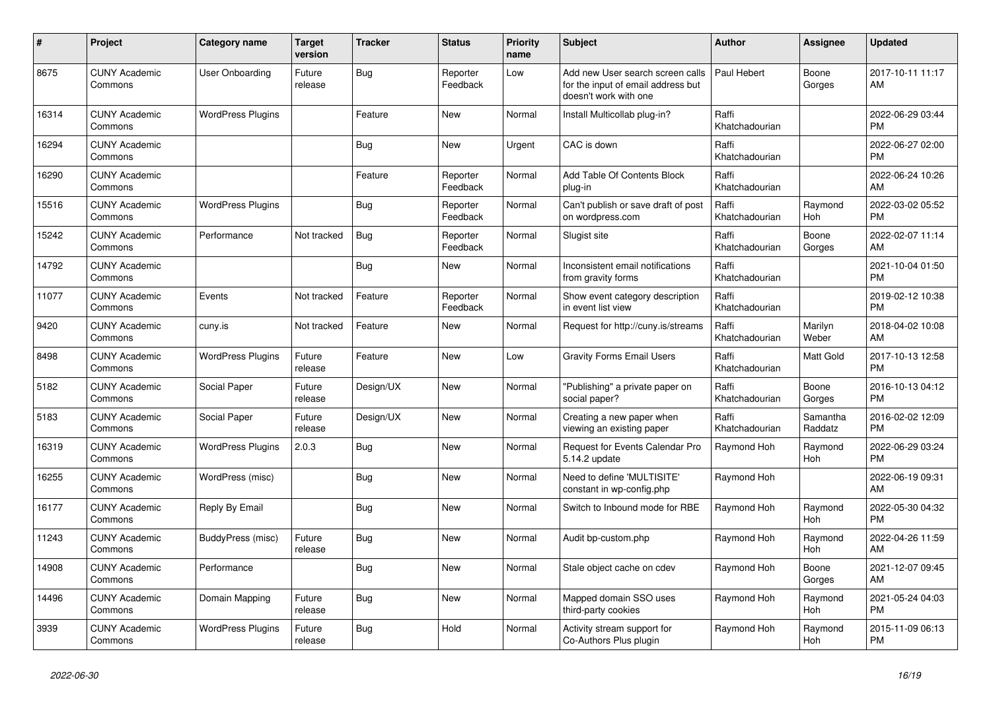| #     | Project                         | <b>Category name</b>     | <b>Target</b><br>version | <b>Tracker</b> | <b>Status</b>        | <b>Priority</b><br>name | <b>Subject</b>                                                                                  | <b>Author</b>           | Assignee            | <b>Updated</b>                |
|-------|---------------------------------|--------------------------|--------------------------|----------------|----------------------|-------------------------|-------------------------------------------------------------------------------------------------|-------------------------|---------------------|-------------------------------|
| 8675  | <b>CUNY Academic</b><br>Commons | User Onboarding          | Future<br>release        | Bug            | Reporter<br>Feedback | Low                     | Add new User search screen calls<br>for the input of email address but<br>doesn't work with one | Paul Hebert             | Boone<br>Gorges     | 2017-10-11 11:17<br>AM        |
| 16314 | <b>CUNY Academic</b><br>Commons | <b>WordPress Plugins</b> |                          | Feature        | <b>New</b>           | Normal                  | Install Multicollab plug-in?                                                                    | Raffi<br>Khatchadourian |                     | 2022-06-29 03:44<br><b>PM</b> |
| 16294 | <b>CUNY Academic</b><br>Commons |                          |                          | <b>Bug</b>     | <b>New</b>           | Urgent                  | CAC is down                                                                                     | Raffi<br>Khatchadourian |                     | 2022-06-27 02:00<br><b>PM</b> |
| 16290 | <b>CUNY Academic</b><br>Commons |                          |                          | Feature        | Reporter<br>Feedback | Normal                  | Add Table Of Contents Block<br>plug-in                                                          | Raffi<br>Khatchadourian |                     | 2022-06-24 10:26<br>AM        |
| 15516 | <b>CUNY Academic</b><br>Commons | <b>WordPress Plugins</b> |                          | Bug            | Reporter<br>Feedback | Normal                  | Can't publish or save draft of post<br>on wordpress.com                                         | Raffi<br>Khatchadourian | Raymond<br>Hoh      | 2022-03-02 05:52<br><b>PM</b> |
| 15242 | <b>CUNY Academic</b><br>Commons | Performance              | Not tracked              | Bug            | Reporter<br>Feedback | Normal                  | Slugist site                                                                                    | Raffi<br>Khatchadourian | Boone<br>Gorges     | 2022-02-07 11:14<br>AM        |
| 14792 | <b>CUNY Academic</b><br>Commons |                          |                          | Bug            | <b>New</b>           | Normal                  | Inconsistent email notifications<br>from gravity forms                                          | Raffi<br>Khatchadourian |                     | 2021-10-04 01:50<br><b>PM</b> |
| 11077 | <b>CUNY Academic</b><br>Commons | Events                   | Not tracked              | Feature        | Reporter<br>Feedback | Normal                  | Show event category description<br>in event list view                                           | Raffi<br>Khatchadourian |                     | 2019-02-12 10:38<br><b>PM</b> |
| 9420  | <b>CUNY Academic</b><br>Commons | cuny.is                  | Not tracked              | Feature        | <b>New</b>           | Normal                  | Request for http://cuny.is/streams                                                              | Raffi<br>Khatchadourian | Marilyn<br>Weber    | 2018-04-02 10:08<br>AM        |
| 8498  | <b>CUNY Academic</b><br>Commons | <b>WordPress Plugins</b> | Future<br>release        | Feature        | New                  | Low                     | <b>Gravity Forms Email Users</b>                                                                | Raffi<br>Khatchadourian | Matt Gold           | 2017-10-13 12:58<br><b>PM</b> |
| 5182  | <b>CUNY Academic</b><br>Commons | Social Paper             | Future<br>release        | Design/UX      | <b>New</b>           | Normal                  | "Publishing" a private paper on<br>social paper?                                                | Raffi<br>Khatchadourian | Boone<br>Gorges     | 2016-10-13 04:12<br><b>PM</b> |
| 5183  | <b>CUNY Academic</b><br>Commons | Social Paper             | Future<br>release        | Design/UX      | <b>New</b>           | Normal                  | Creating a new paper when<br>viewing an existing paper                                          | Raffi<br>Khatchadourian | Samantha<br>Raddatz | 2016-02-02 12:09<br><b>PM</b> |
| 16319 | <b>CUNY Academic</b><br>Commons | <b>WordPress Plugins</b> | 2.0.3                    | Bug            | <b>New</b>           | Normal                  | <b>Request for Events Calendar Pro</b><br>5.14.2 update                                         | Raymond Hoh             | Raymond<br>Hoh      | 2022-06-29 03:24<br><b>PM</b> |
| 16255 | <b>CUNY Academic</b><br>Commons | WordPress (misc)         |                          | Bug            | <b>New</b>           | Normal                  | Need to define 'MULTISITE'<br>constant in wp-config.php                                         | Raymond Hoh             |                     | 2022-06-19 09:31<br>AM        |
| 16177 | <b>CUNY Academic</b><br>Commons | Reply By Email           |                          | <b>Bug</b>     | <b>New</b>           | Normal                  | Switch to Inbound mode for RBE                                                                  | Raymond Hoh             | Raymond<br>Hoh      | 2022-05-30 04:32<br><b>PM</b> |
| 11243 | <b>CUNY Academic</b><br>Commons | BuddyPress (misc)        | Future<br>release        | Bug            | <b>New</b>           | Normal                  | Audit bp-custom.php                                                                             | Raymond Hoh             | Raymond<br>Hoh      | 2022-04-26 11:59<br>AM        |
| 14908 | <b>CUNY Academic</b><br>Commons | Performance              |                          | Bug            | <b>New</b>           | Normal                  | Stale object cache on cdev                                                                      | Raymond Hoh             | Boone<br>Gorges     | 2021-12-07 09:45<br>AM        |
| 14496 | <b>CUNY Academic</b><br>Commons | Domain Mapping           | Future<br>release        | <b>Bug</b>     | New                  | Normal                  | Mapped domain SSO uses<br>third-party cookies                                                   | Raymond Hoh             | Raymond<br>Hoh      | 2021-05-24 04:03<br><b>PM</b> |
| 3939  | <b>CUNY Academic</b><br>Commons | <b>WordPress Plugins</b> | Future<br>release        | Bug            | Hold                 | Normal                  | Activity stream support for<br>Co-Authors Plus plugin                                           | Raymond Hoh             | Raymond<br>Hoh      | 2015-11-09 06:13<br><b>PM</b> |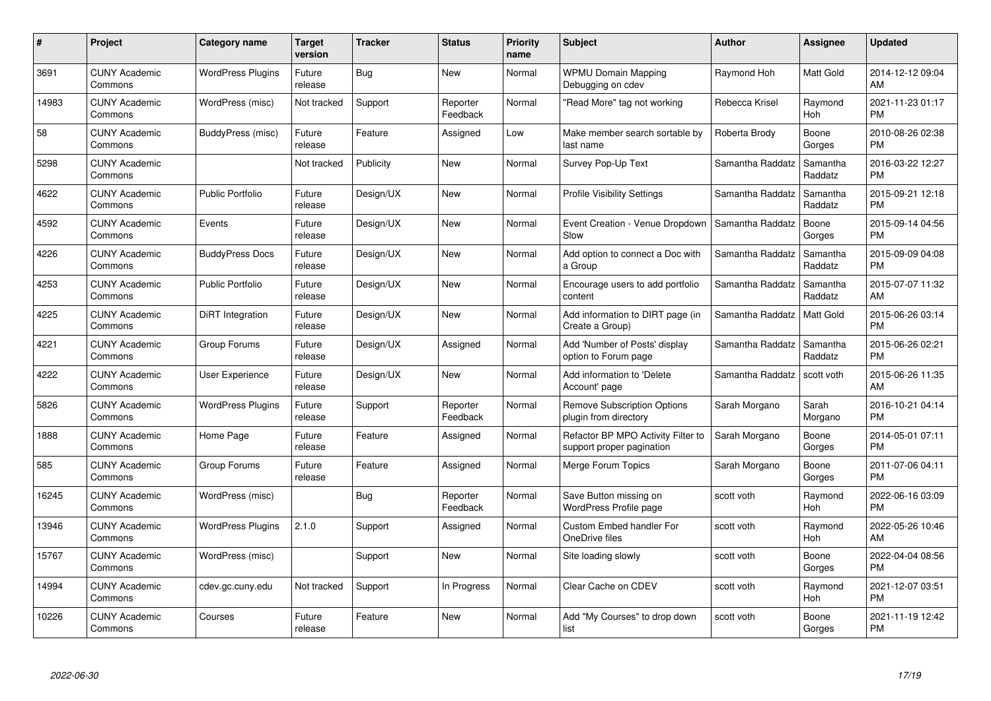| $\#$  | Project                         | <b>Category name</b>     | <b>Target</b><br>version | <b>Tracker</b> | <b>Status</b>        | <b>Priority</b><br>name | <b>Subject</b>                                                  | <b>Author</b>    | Assignee            | <b>Updated</b>                |
|-------|---------------------------------|--------------------------|--------------------------|----------------|----------------------|-------------------------|-----------------------------------------------------------------|------------------|---------------------|-------------------------------|
| 3691  | <b>CUNY Academic</b><br>Commons | <b>WordPress Plugins</b> | Future<br>release        | <b>Bug</b>     | <b>New</b>           | Normal                  | <b>WPMU Domain Mapping</b><br>Debugging on cdev                 | Raymond Hoh      | <b>Matt Gold</b>    | 2014-12-12 09:04<br>AM        |
| 14983 | <b>CUNY Academic</b><br>Commons | WordPress (misc)         | Not tracked              | Support        | Reporter<br>Feedback | Normal                  | "Read More" tag not working                                     | Rebecca Krisel   | Raymond<br>Hoh      | 2021-11-23 01:17<br><b>PM</b> |
| 58    | <b>CUNY Academic</b><br>Commons | BuddyPress (misc)        | Future<br>release        | Feature        | Assigned             | Low                     | Make member search sortable by<br>last name                     | Roberta Brody    | Boone<br>Gorges     | 2010-08-26 02:38<br><b>PM</b> |
| 5298  | <b>CUNY Academic</b><br>Commons |                          | Not tracked              | Publicity      | <b>New</b>           | Normal                  | Survey Pop-Up Text                                              | Samantha Raddatz | Samantha<br>Raddatz | 2016-03-22 12:27<br><b>PM</b> |
| 4622  | <b>CUNY Academic</b><br>Commons | <b>Public Portfolio</b>  | Future<br>release        | Design/UX      | <b>New</b>           | Normal                  | <b>Profile Visibility Settings</b>                              | Samantha Raddatz | Samantha<br>Raddatz | 2015-09-21 12:18<br><b>PM</b> |
| 4592  | <b>CUNY Academic</b><br>Commons | Events                   | Future<br>release        | Design/UX      | <b>New</b>           | Normal                  | Event Creation - Venue Dropdown<br>Slow                         | Samantha Raddatz | Boone<br>Gorges     | 2015-09-14 04:56<br><b>PM</b> |
| 4226  | <b>CUNY Academic</b><br>Commons | <b>BuddyPress Docs</b>   | Future<br>release        | Design/UX      | New                  | Normal                  | Add option to connect a Doc with<br>a Group                     | Samantha Raddatz | Samantha<br>Raddatz | 2015-09-09 04:08<br><b>PM</b> |
| 4253  | <b>CUNY Academic</b><br>Commons | <b>Public Portfolio</b>  | Future<br>release        | Design/UX      | <b>New</b>           | Normal                  | Encourage users to add portfolio<br>content                     | Samantha Raddatz | Samantha<br>Raddatz | 2015-07-07 11:32<br>AM        |
| 4225  | <b>CUNY Academic</b><br>Commons | DiRT Integration         | Future<br>release        | Design/UX      | New                  | Normal                  | Add information to DIRT page (in<br>Create a Group)             | Samantha Raddatz | <b>Matt Gold</b>    | 2015-06-26 03:14<br><b>PM</b> |
| 4221  | <b>CUNY Academic</b><br>Commons | Group Forums             | Future<br>release        | Design/UX      | Assigned             | Normal                  | Add 'Number of Posts' display<br>option to Forum page           | Samantha Raddatz | Samantha<br>Raddatz | 2015-06-26 02:21<br><b>PM</b> |
| 4222  | <b>CUNY Academic</b><br>Commons | <b>User Experience</b>   | Future<br>release        | Design/UX      | <b>New</b>           | Normal                  | Add information to 'Delete<br>Account' page                     | Samantha Raddatz | scott voth          | 2015-06-26 11:35<br>AM        |
| 5826  | <b>CUNY Academic</b><br>Commons | <b>WordPress Plugins</b> | Future<br>release        | Support        | Reporter<br>Feedback | Normal                  | <b>Remove Subscription Options</b><br>plugin from directory     | Sarah Morgano    | Sarah<br>Morgano    | 2016-10-21 04:14<br><b>PM</b> |
| 1888  | <b>CUNY Academic</b><br>Commons | Home Page                | Future<br>release        | Feature        | Assigned             | Normal                  | Refactor BP MPO Activity Filter to<br>support proper pagination | Sarah Morgano    | Boone<br>Gorges     | 2014-05-01 07:11<br><b>PM</b> |
| 585   | <b>CUNY Academic</b><br>Commons | Group Forums             | Future<br>release        | Feature        | Assigned             | Normal                  | Merge Forum Topics                                              | Sarah Morgano    | Boone<br>Gorges     | 2011-07-06 04:11<br><b>PM</b> |
| 16245 | <b>CUNY Academic</b><br>Commons | WordPress (misc)         |                          | <b>Bug</b>     | Reporter<br>Feedback | Normal                  | Save Button missing on<br>WordPress Profile page                | scott voth       | Raymond<br>Hoh      | 2022-06-16 03:09<br><b>PM</b> |
| 13946 | <b>CUNY Academic</b><br>Commons | <b>WordPress Plugins</b> | 2.1.0                    | Support        | Assigned             | Normal                  | <b>Custom Embed handler For</b><br>OneDrive files               | scott voth       | Raymond<br>Hoh      | 2022-05-26 10:46<br>AM        |
| 15767 | <b>CUNY Academic</b><br>Commons | WordPress (misc)         |                          | Support        | New                  | Normal                  | Site loading slowly                                             | scott voth       | Boone<br>Gorges     | 2022-04-04 08:56<br><b>PM</b> |
| 14994 | <b>CUNY Academic</b><br>Commons | cdev.gc.cuny.edu         | Not tracked              | Support        | In Progress          | Normal                  | Clear Cache on CDEV                                             | scott voth       | Raymond<br>Hoh      | 2021-12-07 03:51<br><b>PM</b> |
| 10226 | CUNY Academic<br>Commons        | Courses                  | Future<br>release        | Feature        | <b>New</b>           | Normal                  | Add "My Courses" to drop down<br>list                           | scott voth       | Boone<br>Gorges     | 2021-11-19 12:42<br><b>PM</b> |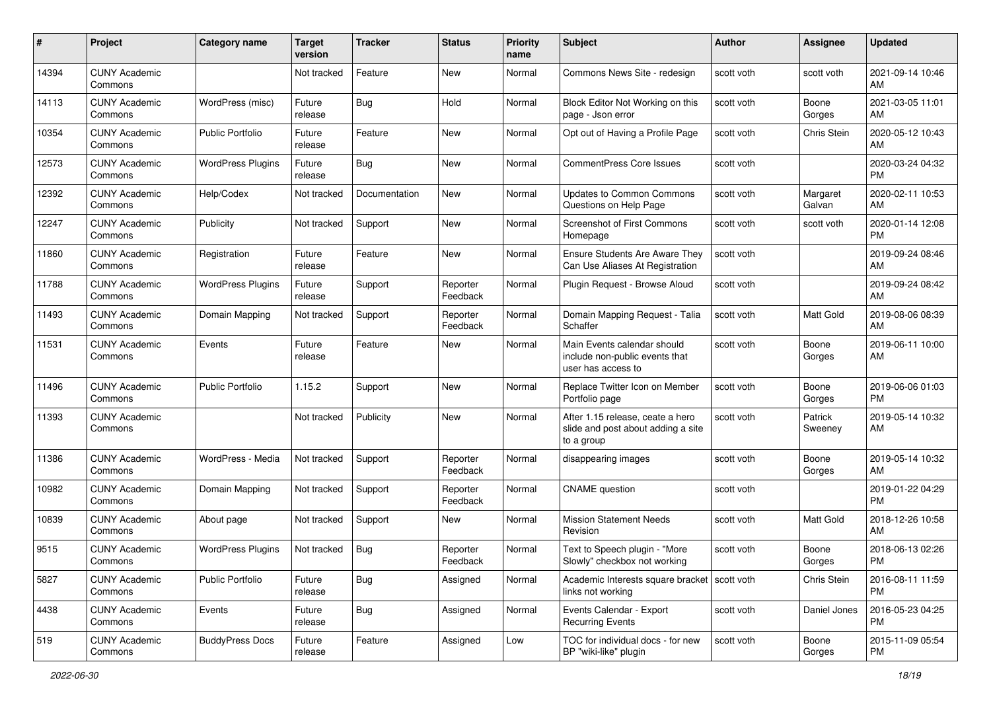| #     | Project                         | <b>Category name</b>     | <b>Target</b><br>version | Tracker       | <b>Status</b>        | <b>Priority</b><br>name | <b>Subject</b>                                                                       | <b>Author</b> | <b>Assignee</b>    | <b>Updated</b>                |
|-------|---------------------------------|--------------------------|--------------------------|---------------|----------------------|-------------------------|--------------------------------------------------------------------------------------|---------------|--------------------|-------------------------------|
| 14394 | <b>CUNY Academic</b><br>Commons |                          | Not tracked              | Feature       | New                  | Normal                  | Commons News Site - redesign                                                         | scott voth    | scott voth         | 2021-09-14 10:46<br>AM        |
| 14113 | <b>CUNY Academic</b><br>Commons | WordPress (misc)         | Future<br>release        | Bug           | Hold                 | Normal                  | Block Editor Not Working on this<br>page - Json error                                | scott voth    | Boone<br>Gorges    | 2021-03-05 11:01<br>AM.       |
| 10354 | <b>CUNY Academic</b><br>Commons | Public Portfolio         | Future<br>release        | Feature       | New                  | Normal                  | Opt out of Having a Profile Page                                                     | scott voth    | Chris Stein        | 2020-05-12 10:43<br>AM.       |
| 12573 | <b>CUNY Academic</b><br>Commons | <b>WordPress Plugins</b> | Future<br>release        | Bug           | New                  | Normal                  | <b>CommentPress Core Issues</b>                                                      | scott voth    |                    | 2020-03-24 04:32<br><b>PM</b> |
| 12392 | <b>CUNY Academic</b><br>Commons | Help/Codex               | Not tracked              | Documentation | New                  | Normal                  | <b>Updates to Common Commons</b><br>Questions on Help Page                           | scott voth    | Margaret<br>Galvan | 2020-02-11 10:53<br>AM        |
| 12247 | <b>CUNY Academic</b><br>Commons | Publicity                | Not tracked              | Support       | New                  | Normal                  | Screenshot of First Commons<br>Homepage                                              | scott voth    | scott voth         | 2020-01-14 12:08<br>PM.       |
| 11860 | <b>CUNY Academic</b><br>Commons | Registration             | Future<br>release        | Feature       | New                  | Normal                  | <b>Ensure Students Are Aware They</b><br>Can Use Aliases At Registration             | scott voth    |                    | 2019-09-24 08:46<br>AM.       |
| 11788 | <b>CUNY Academic</b><br>Commons | <b>WordPress Plugins</b> | Future<br>release        | Support       | Reporter<br>Feedback | Normal                  | Plugin Request - Browse Aloud                                                        | scott voth    |                    | 2019-09-24 08:42<br>AM.       |
| 11493 | <b>CUNY Academic</b><br>Commons | Domain Mapping           | Not tracked              | Support       | Reporter<br>Feedback | Normal                  | Domain Mapping Request - Talia<br>Schaffer                                           | scott voth    | <b>Matt Gold</b>   | 2019-08-06 08:39<br>AM        |
| 11531 | <b>CUNY Academic</b><br>Commons | Events                   | Future<br>release        | Feature       | New                  | Normal                  | Main Events calendar should<br>include non-public events that<br>user has access to  | scott voth    | Boone<br>Gorges    | 2019-06-11 10:00<br>AM        |
| 11496 | <b>CUNY Academic</b><br>Commons | <b>Public Portfolio</b>  | 1.15.2                   | Support       | New                  | Normal                  | Replace Twitter Icon on Member<br>Portfolio page                                     | scott voth    | Boone<br>Gorges    | 2019-06-06 01:03<br><b>PM</b> |
| 11393 | <b>CUNY Academic</b><br>Commons |                          | Not tracked              | Publicity     | New                  | Normal                  | After 1.15 release, ceate a hero<br>slide and post about adding a site<br>to a group | scott voth    | Patrick<br>Sweeney | 2019-05-14 10:32<br>AM        |
| 11386 | <b>CUNY Academic</b><br>Commons | WordPress - Media        | Not tracked              | Support       | Reporter<br>Feedback | Normal                  | disappearing images                                                                  | scott voth    | Boone<br>Gorges    | 2019-05-14 10:32<br>AM        |
| 10982 | <b>CUNY Academic</b><br>Commons | Domain Mapping           | Not tracked              | Support       | Reporter<br>Feedback | Normal                  | <b>CNAME</b> question                                                                | scott voth    |                    | 2019-01-22 04:29<br><b>PM</b> |
| 10839 | <b>CUNY Academic</b><br>Commons | About page               | Not tracked              | Support       | New                  | Normal                  | <b>Mission Statement Needs</b><br>Revision                                           | scott voth    | Matt Gold          | 2018-12-26 10:58<br>AM.       |
| 9515  | <b>CUNY Academic</b><br>Commons | <b>WordPress Plugins</b> | Not tracked              | Bug           | Reporter<br>Feedback | Normal                  | Text to Speech plugin - "More<br>Slowly" checkbox not working                        | scott voth    | Boone<br>Gorges    | 2018-06-13 02:26<br>PM        |
| 5827  | <b>CUNY Academic</b><br>Commons | <b>Public Portfolio</b>  | Future<br>release        | Bug           | Assigned             | Normal                  | Academic Interests square bracket   scott voth<br>links not working                  |               | Chris Stein        | 2016-08-11 11:59<br><b>PM</b> |
| 4438  | <b>CUNY Academic</b><br>Commons | Events                   | Future<br>release        | <b>Bug</b>    | Assigned             | Normal                  | Events Calendar - Export<br><b>Recurring Events</b>                                  | scott voth    | Daniel Jones       | 2016-05-23 04:25<br><b>PM</b> |
| 519   | <b>CUNY Academic</b><br>Commons | <b>BuddyPress Docs</b>   | Future<br>release        | Feature       | Assigned             | Low                     | TOC for individual docs - for new<br>BP "wiki-like" plugin                           | scott voth    | Boone<br>Gorges    | 2015-11-09 05:54<br><b>PM</b> |